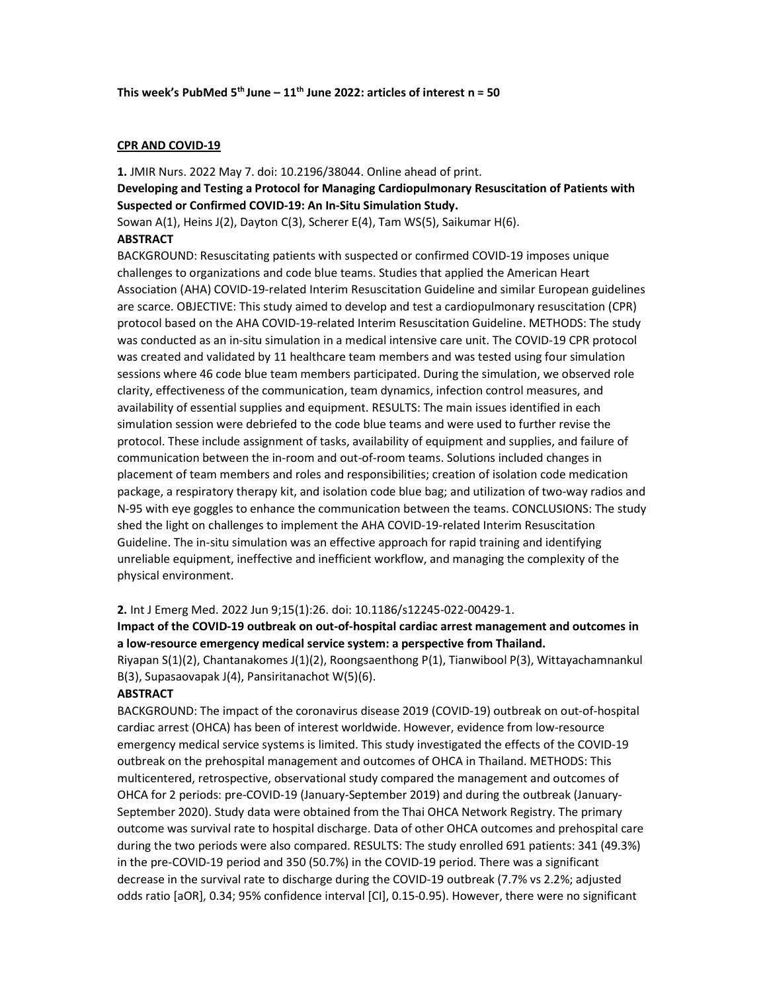#### CPR AND COVID-19

1. JMIR Nurs. 2022 May 7. doi: 10.2196/38044. Online ahead of print. Developing and Testing a Protocol for Managing Cardiopulmonary Resuscitation of Patients with Suspected or Confirmed COVID-19: An In-Situ Simulation Study.

Sowan A(1), Heins J(2), Dayton C(3), Scherer E(4), Tam WS(5), Saikumar H(6). **ABSTRACT** 

BACKGROUND: Resuscitating patients with suspected or confirmed COVID-19 imposes unique challenges to organizations and code blue teams. Studies that applied the American Heart Association (AHA) COVID-19-related Interim Resuscitation Guideline and similar European guidelines are scarce. OBJECTIVE: This study aimed to develop and test a cardiopulmonary resuscitation (CPR) protocol based on the AHA COVID-19-related Interim Resuscitation Guideline. METHODS: The study was conducted as an in-situ simulation in a medical intensive care unit. The COVID-19 CPR protocol was created and validated by 11 healthcare team members and was tested using four simulation sessions where 46 code blue team members participated. During the simulation, we observed role clarity, effectiveness of the communication, team dynamics, infection control measures, and availability of essential supplies and equipment. RESULTS: The main issues identified in each simulation session were debriefed to the code blue teams and were used to further revise the protocol. These include assignment of tasks, availability of equipment and supplies, and failure of communication between the in-room and out-of-room teams. Solutions included changes in placement of team members and roles and responsibilities; creation of isolation code medication package, a respiratory therapy kit, and isolation code blue bag; and utilization of two-way radios and N-95 with eye goggles to enhance the communication between the teams. CONCLUSIONS: The study shed the light on challenges to implement the AHA COVID-19-related Interim Resuscitation Guideline. The in-situ simulation was an effective approach for rapid training and identifying unreliable equipment, ineffective and inefficient workflow, and managing the complexity of the physical environment.

#### 2. Int J Emerg Med. 2022 Jun 9;15(1):26. doi: 10.1186/s12245-022-00429-1.

Impact of the COVID-19 outbreak on out-of-hospital cardiac arrest management and outcomes in a low-resource emergency medical service system: a perspective from Thailand.

Riyapan S(1)(2), Chantanakomes J(1)(2), Roongsaenthong P(1), Tianwibool P(3), Wittayachamnankul B(3), Supasaovapak J(4), Pansiritanachot W(5)(6).

#### **ABSTRACT**

BACKGROUND: The impact of the coronavirus disease 2019 (COVID-19) outbreak on out-of-hospital cardiac arrest (OHCA) has been of interest worldwide. However, evidence from low-resource emergency medical service systems is limited. This study investigated the effects of the COVID-19 outbreak on the prehospital management and outcomes of OHCA in Thailand. METHODS: This multicentered, retrospective, observational study compared the management and outcomes of OHCA for 2 periods: pre-COVID-19 (January-September 2019) and during the outbreak (January-September 2020). Study data were obtained from the Thai OHCA Network Registry. The primary outcome was survival rate to hospital discharge. Data of other OHCA outcomes and prehospital care during the two periods were also compared. RESULTS: The study enrolled 691 patients: 341 (49.3%) in the pre-COVID-19 period and 350 (50.7%) in the COVID-19 period. There was a significant decrease in the survival rate to discharge during the COVID-19 outbreak (7.7% vs 2.2%; adjusted odds ratio [aOR], 0.34; 95% confidence interval [CI], 0.15-0.95). However, there were no significant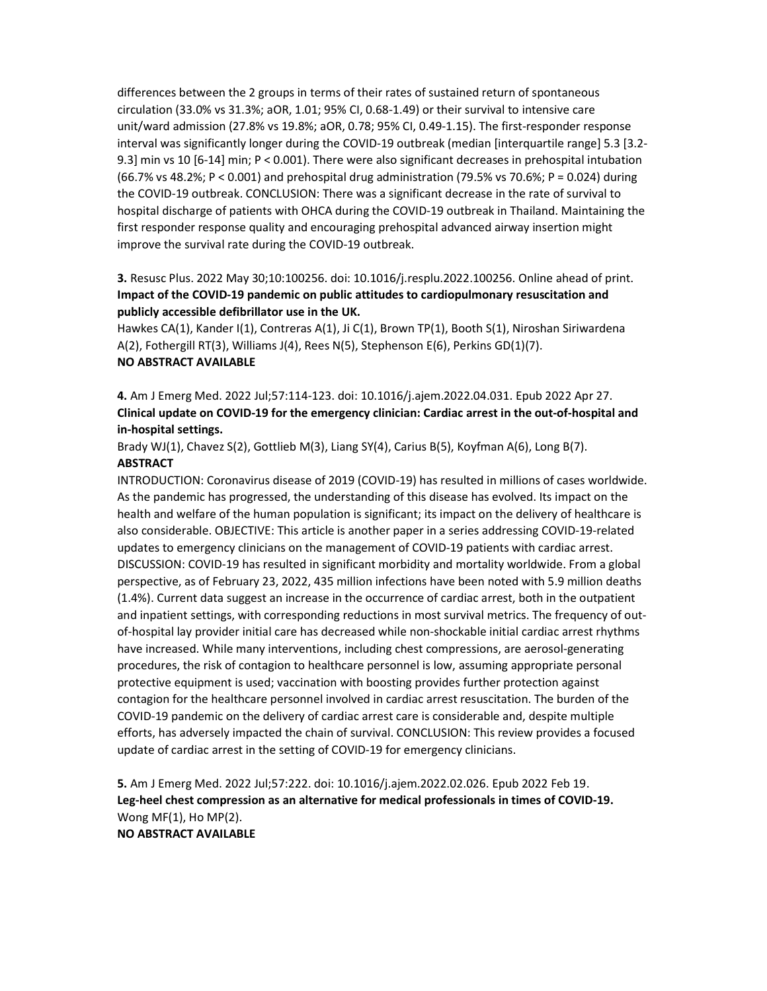differences between the 2 groups in terms of their rates of sustained return of spontaneous circulation (33.0% vs 31.3%; aOR, 1.01; 95% CI, 0.68-1.49) or their survival to intensive care unit/ward admission (27.8% vs 19.8%; aOR, 0.78; 95% CI, 0.49-1.15). The first-responder response interval was significantly longer during the COVID-19 outbreak (median [interquartile range] 5.3 [3.2- 9.3] min vs 10 [6-14] min; P < 0.001). There were also significant decreases in prehospital intubation (66.7% vs 48.2%; P < 0.001) and prehospital drug administration (79.5% vs 70.6%; P = 0.024) during the COVID-19 outbreak. CONCLUSION: There was a significant decrease in the rate of survival to hospital discharge of patients with OHCA during the COVID-19 outbreak in Thailand. Maintaining the first responder response quality and encouraging prehospital advanced airway insertion might improve the survival rate during the COVID-19 outbreak.

# 3. Resusc Plus. 2022 May 30;10:100256. doi: 10.1016/j.resplu.2022.100256. Online ahead of print. Impact of the COVID-19 pandemic on public attitudes to cardiopulmonary resuscitation and publicly accessible defibrillator use in the UK.

Hawkes CA(1), Kander I(1), Contreras A(1), Ji C(1), Brown TP(1), Booth S(1), Niroshan Siriwardena A(2), Fothergill RT(3), Williams J(4), Rees N(5), Stephenson E(6), Perkins GD(1)(7). NO ABSTRACT AVAILABLE

4. Am J Emerg Med. 2022 Jul;57:114-123. doi: 10.1016/j.ajem.2022.04.031. Epub 2022 Apr 27. Clinical update on COVID-19 for the emergency clinician: Cardiac arrest in the out-of-hospital and in-hospital settings.

Brady WJ(1), Chavez S(2), Gottlieb M(3), Liang SY(4), Carius B(5), Koyfman A(6), Long B(7). **ABSTRACT** 

INTRODUCTION: Coronavirus disease of 2019 (COVID-19) has resulted in millions of cases worldwide. As the pandemic has progressed, the understanding of this disease has evolved. Its impact on the health and welfare of the human population is significant; its impact on the delivery of healthcare is also considerable. OBJECTIVE: This article is another paper in a series addressing COVID-19-related updates to emergency clinicians on the management of COVID-19 patients with cardiac arrest. DISCUSSION: COVID-19 has resulted in significant morbidity and mortality worldwide. From a global perspective, as of February 23, 2022, 435 million infections have been noted with 5.9 million deaths (1.4%). Current data suggest an increase in the occurrence of cardiac arrest, both in the outpatient and inpatient settings, with corresponding reductions in most survival metrics. The frequency of outof-hospital lay provider initial care has decreased while non-shockable initial cardiac arrest rhythms have increased. While many interventions, including chest compressions, are aerosol-generating procedures, the risk of contagion to healthcare personnel is low, assuming appropriate personal protective equipment is used; vaccination with boosting provides further protection against contagion for the healthcare personnel involved in cardiac arrest resuscitation. The burden of the COVID-19 pandemic on the delivery of cardiac arrest care is considerable and, despite multiple efforts, has adversely impacted the chain of survival. CONCLUSION: This review provides a focused update of cardiac arrest in the setting of COVID-19 for emergency clinicians.

5. Am J Emerg Med. 2022 Jul;57:222. doi: 10.1016/j.ajem.2022.02.026. Epub 2022 Feb 19. Leg-heel chest compression as an alternative for medical professionals in times of COVID-19. Wong MF(1), Ho MP(2).

NO ABSTRACT AVAILABLE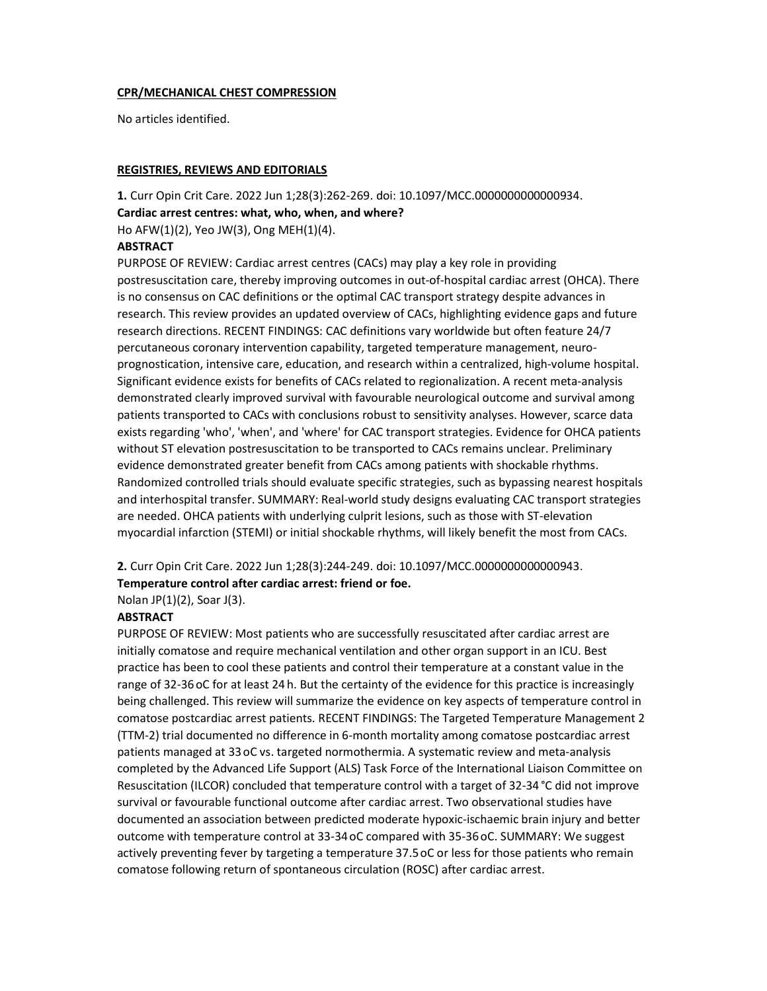### CPR/MECHANICAL CHEST COMPRESSION

No articles identified.

### REGISTRIES, REVIEWS AND EDITORIALS

1. Curr Opin Crit Care. 2022 Jun 1;28(3):262-269. doi: 10.1097/MCC.0000000000000934. Cardiac arrest centres: what, who, when, and where? Ho AFW(1)(2), Yeo JW(3), Ong MEH(1)(4). **ABSTRACT** 

PURPOSE OF REVIEW: Cardiac arrest centres (CACs) may play a key role in providing postresuscitation care, thereby improving outcomes in out-of-hospital cardiac arrest (OHCA). There is no consensus on CAC definitions or the optimal CAC transport strategy despite advances in research. This review provides an updated overview of CACs, highlighting evidence gaps and future research directions. RECENT FINDINGS: CAC definitions vary worldwide but often feature 24/7 percutaneous coronary intervention capability, targeted temperature management, neuroprognostication, intensive care, education, and research within a centralized, high-volume hospital. Significant evidence exists for benefits of CACs related to regionalization. A recent meta-analysis demonstrated clearly improved survival with favourable neurological outcome and survival among patients transported to CACs with conclusions robust to sensitivity analyses. However, scarce data exists regarding 'who', 'when', and 'where' for CAC transport strategies. Evidence for OHCA patients without ST elevation postresuscitation to be transported to CACs remains unclear. Preliminary evidence demonstrated greater benefit from CACs among patients with shockable rhythms. Randomized controlled trials should evaluate specific strategies, such as bypassing nearest hospitals and interhospital transfer. SUMMARY: Real-world study designs evaluating CAC transport strategies are needed. OHCA patients with underlying culprit lesions, such as those with ST-elevation myocardial infarction (STEMI) or initial shockable rhythms, will likely benefit the most from CACs.

2. Curr Opin Crit Care. 2022 Jun 1;28(3):244-249. doi: 10.1097/MCC.0000000000000943.

### Temperature control after cardiac arrest: friend or foe.

Nolan JP(1)(2), Soar J(3).

### **ABSTRACT**

PURPOSE OF REVIEW: Most patients who are successfully resuscitated after cardiac arrest are initially comatose and require mechanical ventilation and other organ support in an ICU. Best practice has been to cool these patients and control their temperature at a constant value in the range of 32-36 oC for at least 24 h. But the certainty of the evidence for this practice is increasingly being challenged. This review will summarize the evidence on key aspects of temperature control in comatose postcardiac arrest patients. RECENT FINDINGS: The Targeted Temperature Management 2 (TTM-2) trial documented no difference in 6-month mortality among comatose postcardiac arrest patients managed at 33 oC vs. targeted normothermia. A systematic review and meta-analysis completed by the Advanced Life Support (ALS) Task Force of the International Liaison Committee on Resuscitation (ILCOR) concluded that temperature control with a target of 32-34 °C did not improve survival or favourable functional outcome after cardiac arrest. Two observational studies have documented an association between predicted moderate hypoxic-ischaemic brain injury and better outcome with temperature control at 33-34 oC compared with 35-36 oC. SUMMARY: We suggest actively preventing fever by targeting a temperature 37.5 oC or less for those patients who remain comatose following return of spontaneous circulation (ROSC) after cardiac arrest.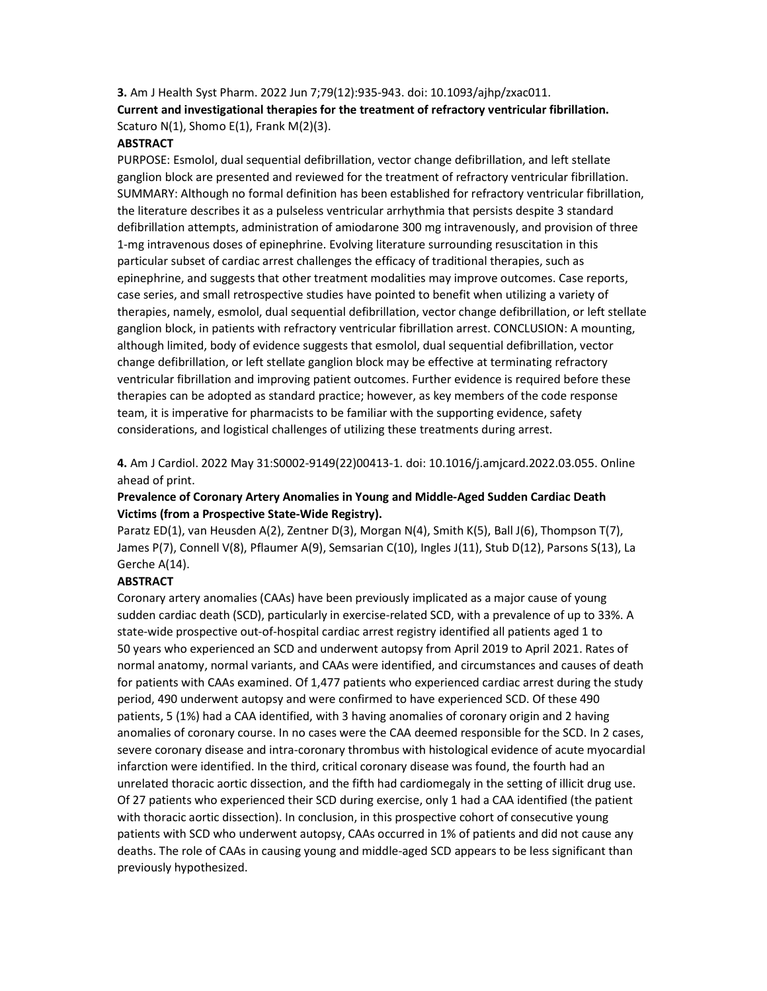# 3. Am J Health Syst Pharm. 2022 Jun 7;79(12):935-943. doi: 10.1093/ajhp/zxac011. Current and investigational therapies for the treatment of refractory ventricular fibrillation. Scaturo N(1), Shomo E(1), Frank M(2)(3).

### **ABSTRACT**

PURPOSE: Esmolol, dual sequential defibrillation, vector change defibrillation, and left stellate ganglion block are presented and reviewed for the treatment of refractory ventricular fibrillation. SUMMARY: Although no formal definition has been established for refractory ventricular fibrillation, the literature describes it as a pulseless ventricular arrhythmia that persists despite 3 standard defibrillation attempts, administration of amiodarone 300 mg intravenously, and provision of three 1-mg intravenous doses of epinephrine. Evolving literature surrounding resuscitation in this particular subset of cardiac arrest challenges the efficacy of traditional therapies, such as epinephrine, and suggests that other treatment modalities may improve outcomes. Case reports, case series, and small retrospective studies have pointed to benefit when utilizing a variety of therapies, namely, esmolol, dual sequential defibrillation, vector change defibrillation, or left stellate ganglion block, in patients with refractory ventricular fibrillation arrest. CONCLUSION: A mounting, although limited, body of evidence suggests that esmolol, dual sequential defibrillation, vector change defibrillation, or left stellate ganglion block may be effective at terminating refractory ventricular fibrillation and improving patient outcomes. Further evidence is required before these therapies can be adopted as standard practice; however, as key members of the code response team, it is imperative for pharmacists to be familiar with the supporting evidence, safety considerations, and logistical challenges of utilizing these treatments during arrest.

4. Am J Cardiol. 2022 May 31:S0002-9149(22)00413-1. doi: 10.1016/j.amjcard.2022.03.055. Online ahead of print.

### Prevalence of Coronary Artery Anomalies in Young and Middle-Aged Sudden Cardiac Death Victims (from a Prospective State-Wide Registry).

Paratz ED(1), van Heusden A(2), Zentner D(3), Morgan N(4), Smith K(5), Ball J(6), Thompson T(7), James P(7), Connell V(8), Pflaumer A(9), Semsarian C(10), Ingles J(11), Stub D(12), Parsons S(13), La Gerche A(14).

#### **ABSTRACT**

Coronary artery anomalies (CAAs) have been previously implicated as a major cause of young sudden cardiac death (SCD), particularly in exercise-related SCD, with a prevalence of up to 33%. A state-wide prospective out-of-hospital cardiac arrest registry identified all patients aged 1 to 50 years who experienced an SCD and underwent autopsy from April 2019 to April 2021. Rates of normal anatomy, normal variants, and CAAs were identified, and circumstances and causes of death for patients with CAAs examined. Of 1,477 patients who experienced cardiac arrest during the study period, 490 underwent autopsy and were confirmed to have experienced SCD. Of these 490 patients, 5 (1%) had a CAA identified, with 3 having anomalies of coronary origin and 2 having anomalies of coronary course. In no cases were the CAA deemed responsible for the SCD. In 2 cases, severe coronary disease and intra-coronary thrombus with histological evidence of acute myocardial infarction were identified. In the third, critical coronary disease was found, the fourth had an unrelated thoracic aortic dissection, and the fifth had cardiomegaly in the setting of illicit drug use. Of 27 patients who experienced their SCD during exercise, only 1 had a CAA identified (the patient with thoracic aortic dissection). In conclusion, in this prospective cohort of consecutive young patients with SCD who underwent autopsy, CAAs occurred in 1% of patients and did not cause any deaths. The role of CAAs in causing young and middle-aged SCD appears to be less significant than previously hypothesized.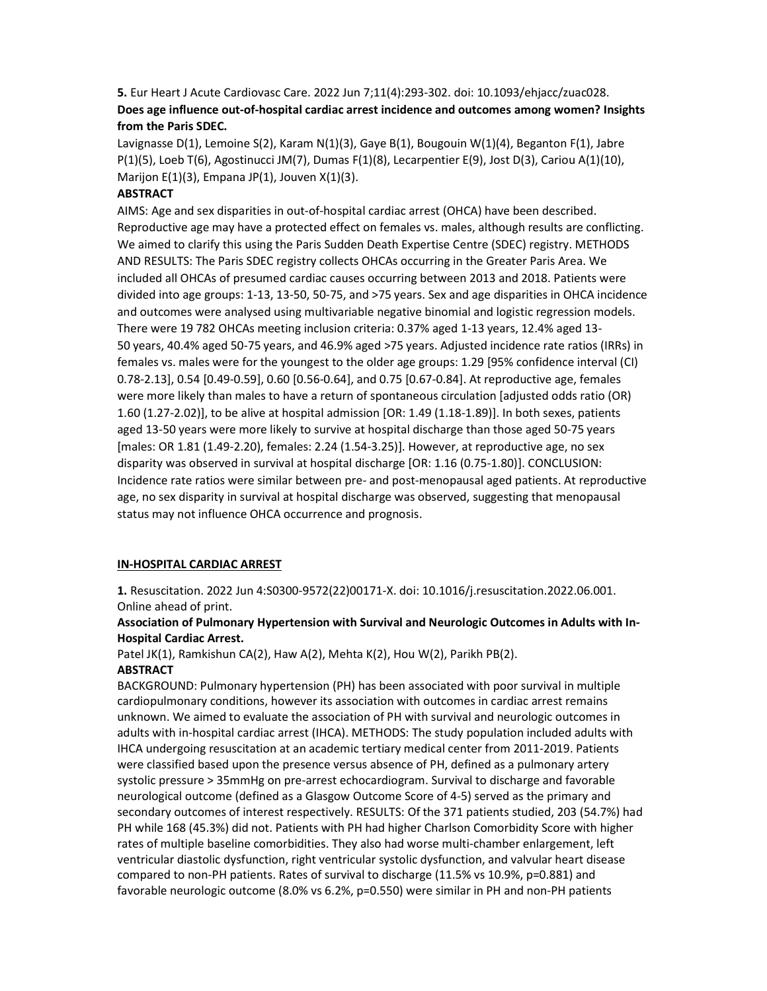# 5. Eur Heart J Acute Cardiovasc Care. 2022 Jun 7;11(4):293-302. doi: 10.1093/ehjacc/zuac028. Does age influence out-of-hospital cardiac arrest incidence and outcomes among women? Insights from the Paris SDEC.

Lavignasse D(1), Lemoine S(2), Karam N(1)(3), Gaye B(1), Bougouin W(1)(4), Beganton F(1), Jabre P(1)(5), Loeb T(6), Agostinucci JM(7), Dumas F(1)(8), Lecarpentier E(9), Jost D(3), Cariou A(1)(10), Marijon  $E(1)(3)$ , Empana JP $(1)$ , Jouven X $(1)(3)$ .

### **ABSTRACT**

AIMS: Age and sex disparities in out-of-hospital cardiac arrest (OHCA) have been described. Reproductive age may have a protected effect on females vs. males, although results are conflicting. We aimed to clarify this using the Paris Sudden Death Expertise Centre (SDEC) registry. METHODS AND RESULTS: The Paris SDEC registry collects OHCAs occurring in the Greater Paris Area. We included all OHCAs of presumed cardiac causes occurring between 2013 and 2018. Patients were divided into age groups: 1-13, 13-50, 50-75, and >75 years. Sex and age disparities in OHCA incidence and outcomes were analysed using multivariable negative binomial and logistic regression models. There were 19 782 OHCAs meeting inclusion criteria: 0.37% aged 1-13 years, 12.4% aged 13- 50 years, 40.4% aged 50-75 years, and 46.9% aged >75 years. Adjusted incidence rate ratios (IRRs) in females vs. males were for the youngest to the older age groups: 1.29 [95% confidence interval (CI) 0.78-2.13], 0.54 [0.49-0.59], 0.60 [0.56-0.64], and 0.75 [0.67-0.84]. At reproductive age, females were more likely than males to have a return of spontaneous circulation [adjusted odds ratio (OR) 1.60 (1.27-2.02)], to be alive at hospital admission [OR: 1.49 (1.18-1.89)]. In both sexes, patients aged 13-50 years were more likely to survive at hospital discharge than those aged 50-75 years [males: OR 1.81 (1.49-2.20), females: 2.24 (1.54-3.25)]. However, at reproductive age, no sex disparity was observed in survival at hospital discharge [OR: 1.16 (0.75-1.80)]. CONCLUSION: Incidence rate ratios were similar between pre- and post-menopausal aged patients. At reproductive age, no sex disparity in survival at hospital discharge was observed, suggesting that menopausal status may not influence OHCA occurrence and prognosis.

## IN-HOSPITAL CARDIAC ARREST

1. Resuscitation. 2022 Jun 4:S0300-9572(22)00171-X. doi: 10.1016/j.resuscitation.2022.06.001. Online ahead of print.

### Association of Pulmonary Hypertension with Survival and Neurologic Outcomes in Adults with In-Hospital Cardiac Arrest.

Patel JK(1), Ramkishun CA(2), Haw A(2), Mehta K(2), Hou W(2), Parikh PB(2).

# **ABSTRACT**

BACKGROUND: Pulmonary hypertension (PH) has been associated with poor survival in multiple cardiopulmonary conditions, however its association with outcomes in cardiac arrest remains unknown. We aimed to evaluate the association of PH with survival and neurologic outcomes in adults with in-hospital cardiac arrest (IHCA). METHODS: The study population included adults with IHCA undergoing resuscitation at an academic tertiary medical center from 2011-2019. Patients were classified based upon the presence versus absence of PH, defined as a pulmonary artery systolic pressure > 35mmHg on pre-arrest echocardiogram. Survival to discharge and favorable neurological outcome (defined as a Glasgow Outcome Score of 4-5) served as the primary and secondary outcomes of interest respectively. RESULTS: Of the 371 patients studied, 203 (54.7%) had PH while 168 (45.3%) did not. Patients with PH had higher Charlson Comorbidity Score with higher rates of multiple baseline comorbidities. They also had worse multi-chamber enlargement, left ventricular diastolic dysfunction, right ventricular systolic dysfunction, and valvular heart disease compared to non-PH patients. Rates of survival to discharge (11.5% vs 10.9%, p=0.881) and favorable neurologic outcome (8.0% vs 6.2%, p=0.550) were similar in PH and non-PH patients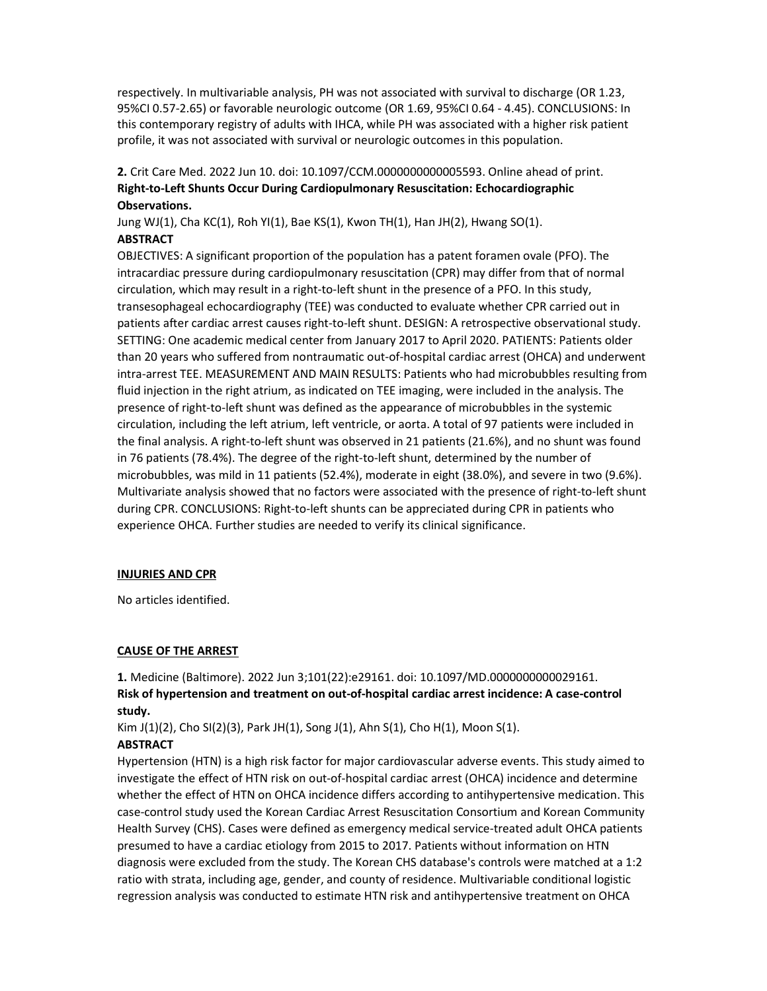respectively. In multivariable analysis, PH was not associated with survival to discharge (OR 1.23, 95%CI 0.57-2.65) or favorable neurologic outcome (OR 1.69, 95%CI 0.64 - 4.45). CONCLUSIONS: In this contemporary registry of adults with IHCA, while PH was associated with a higher risk patient profile, it was not associated with survival or neurologic outcomes in this population.

# 2. Crit Care Med. 2022 Jun 10. doi: 10.1097/CCM.0000000000005593. Online ahead of print. Right-to-Left Shunts Occur During Cardiopulmonary Resuscitation: Echocardiographic Observations.

Jung WJ(1), Cha KC(1), Roh YI(1), Bae KS(1), Kwon TH(1), Han JH(2), Hwang SO(1). **ABSTRACT** 

OBJECTIVES: A significant proportion of the population has a patent foramen ovale (PFO). The intracardiac pressure during cardiopulmonary resuscitation (CPR) may differ from that of normal circulation, which may result in a right-to-left shunt in the presence of a PFO. In this study, transesophageal echocardiography (TEE) was conducted to evaluate whether CPR carried out in patients after cardiac arrest causes right-to-left shunt. DESIGN: A retrospective observational study. SETTING: One academic medical center from January 2017 to April 2020. PATIENTS: Patients older than 20 years who suffered from nontraumatic out-of-hospital cardiac arrest (OHCA) and underwent intra-arrest TEE. MEASUREMENT AND MAIN RESULTS: Patients who had microbubbles resulting from fluid injection in the right atrium, as indicated on TEE imaging, were included in the analysis. The presence of right-to-left shunt was defined as the appearance of microbubbles in the systemic circulation, including the left atrium, left ventricle, or aorta. A total of 97 patients were included in the final analysis. A right-to-left shunt was observed in 21 patients (21.6%), and no shunt was found in 76 patients (78.4%). The degree of the right-to-left shunt, determined by the number of microbubbles, was mild in 11 patients (52.4%), moderate in eight (38.0%), and severe in two (9.6%). Multivariate analysis showed that no factors were associated with the presence of right-to-left shunt during CPR. CONCLUSIONS: Right-to-left shunts can be appreciated during CPR in patients who experience OHCA. Further studies are needed to verify its clinical significance.

### INJURIES AND CPR

No articles identified.

### CAUSE OF THE ARREST

1. Medicine (Baltimore). 2022 Jun 3;101(22):e29161. doi: 10.1097/MD.0000000000029161. Risk of hypertension and treatment on out-of-hospital cardiac arrest incidence: A case-control study.

Kim J(1)(2), Cho SI(2)(3), Park JH(1), Song J(1), Ahn S(1), Cho H(1), Moon S(1). **ABSTRACT** 

Hypertension (HTN) is a high risk factor for major cardiovascular adverse events. This study aimed to investigate the effect of HTN risk on out-of-hospital cardiac arrest (OHCA) incidence and determine whether the effect of HTN on OHCA incidence differs according to antihypertensive medication. This case-control study used the Korean Cardiac Arrest Resuscitation Consortium and Korean Community Health Survey (CHS). Cases were defined as emergency medical service-treated adult OHCA patients presumed to have a cardiac etiology from 2015 to 2017. Patients without information on HTN diagnosis were excluded from the study. The Korean CHS database's controls were matched at a 1:2 ratio with strata, including age, gender, and county of residence. Multivariable conditional logistic regression analysis was conducted to estimate HTN risk and antihypertensive treatment on OHCA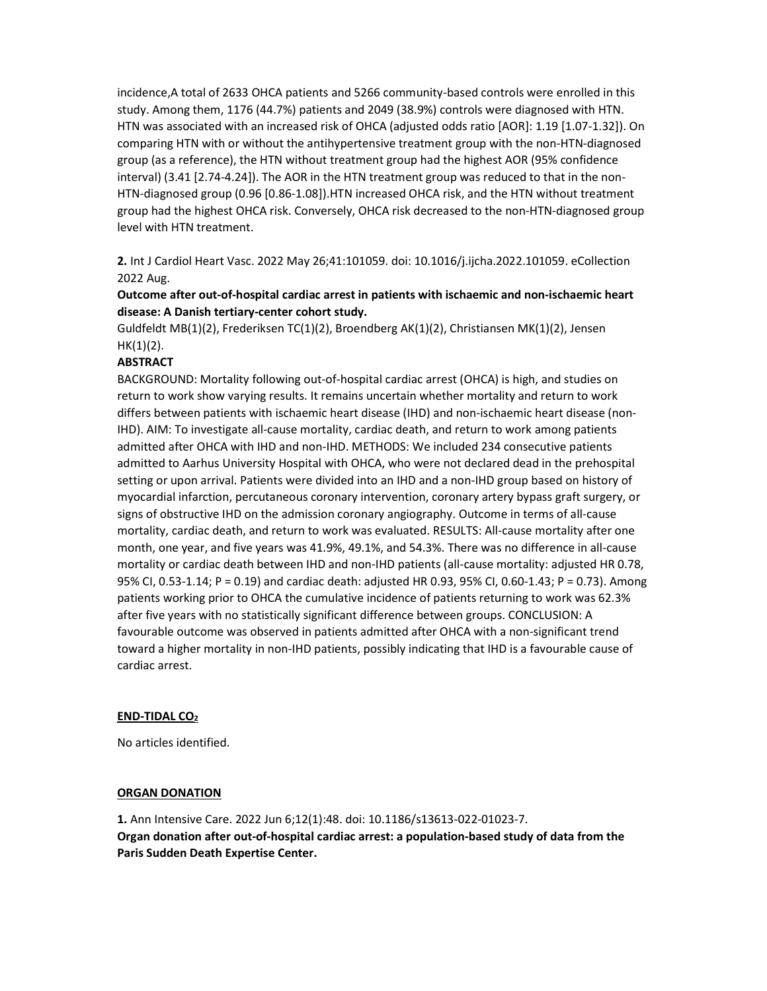incidence,A total of 2633 OHCA patients and 5266 community-based controls were enrolled in this study. Among them, 1176 (44.7%) patients and 2049 (38.9%) controls were diagnosed with HTN. HTN was associated with an increased risk of OHCA (adjusted odds ratio [AOR]: 1.19 [1.07-1.32]). On comparing HTN with or without the antihypertensive treatment group with the non-HTN-diagnosed group (as a reference), the HTN without treatment group had the highest AOR (95% confidence interval) (3.41 [2.74-4.24]). The AOR in the HTN treatment group was reduced to that in the non-HTN-diagnosed group (0.96 [0.86-1.08]).HTN increased OHCA risk, and the HTN without treatment group had the highest OHCA risk. Conversely, OHCA risk decreased to the non-HTN-diagnosed group level with HTN treatment.

2. Int J Cardiol Heart Vasc. 2022 May 26;41:101059. doi: 10.1016/j.ijcha.2022.101059. eCollection 2022 Aug.

## Outcome after out-of-hospital cardiac arrest in patients with ischaemic and non-ischaemic heart disease: A Danish tertiary-center cohort study.

Guldfeldt MB(1)(2), Frederiksen TC(1)(2), Broendberg AK(1)(2), Christiansen MK(1)(2), Jensen  $HK(1)(2)$ .

### ABSTRACT

BACKGROUND: Mortality following out-of-hospital cardiac arrest (OHCA) is high, and studies on return to work show varying results. It remains uncertain whether mortality and return to work differs between patients with ischaemic heart disease (IHD) and non-ischaemic heart disease (non-IHD). AIM: To investigate all-cause mortality, cardiac death, and return to work among patients admitted after OHCA with IHD and non-IHD. METHODS: We included 234 consecutive patients admitted to Aarhus University Hospital with OHCA, who were not declared dead in the prehospital setting or upon arrival. Patients were divided into an IHD and a non-IHD group based on history of myocardial infarction, percutaneous coronary intervention, coronary artery bypass graft surgery, or signs of obstructive IHD on the admission coronary angiography. Outcome in terms of all-cause mortality, cardiac death, and return to work was evaluated. RESULTS: All-cause mortality after one month, one year, and five years was 41.9%, 49.1%, and 54.3%. There was no difference in all-cause mortality or cardiac death between IHD and non-IHD patients (all-cause mortality: adjusted HR 0.78, 95% CI, 0.53-1.14; P = 0.19) and cardiac death: adjusted HR 0.93, 95% CI, 0.60-1.43; P = 0.73). Among patients working prior to OHCA the cumulative incidence of patients returning to work was 62.3% after five years with no statistically significant difference between groups. CONCLUSION: A favourable outcome was observed in patients admitted after OHCA with a non-significant trend toward a higher mortality in non-IHD patients, possibly indicating that IHD is a favourable cause of cardiac arrest.

### END-TIDAL CO<sub>2</sub>

No articles identified.

#### ORGAN DONATION

1. Ann Intensive Care. 2022 Jun 6;12(1):48. doi: 10.1186/s13613-022-01023-7. Organ donation after out-of-hospital cardiac arrest: a population-based study of data from the Paris Sudden Death Expertise Center.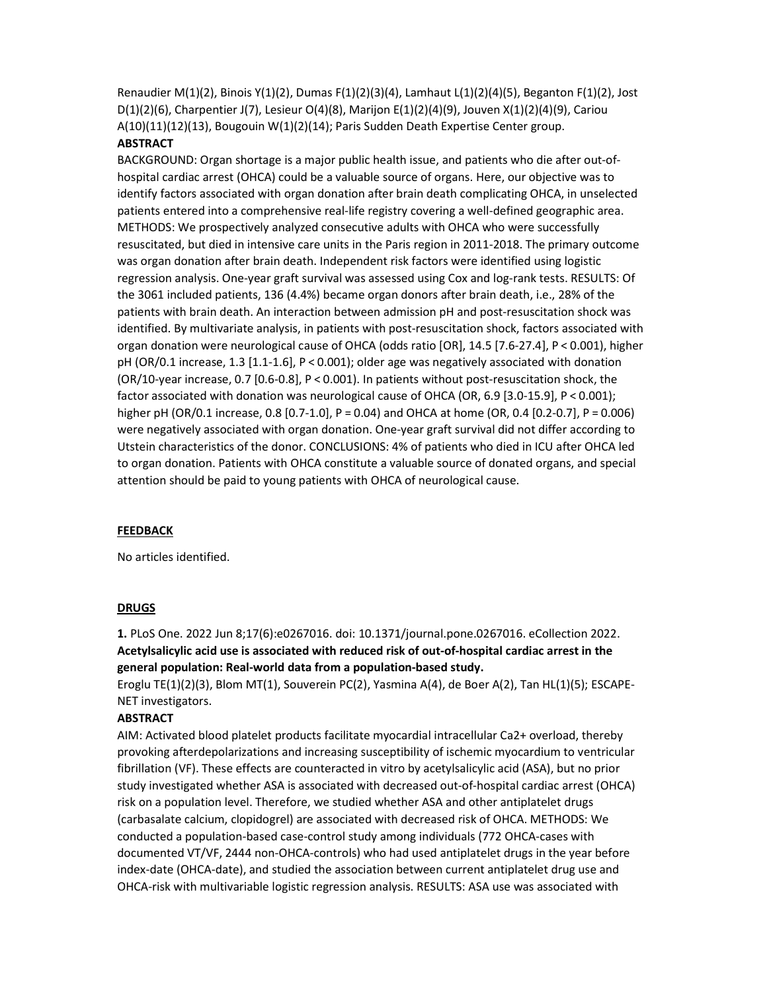Renaudier M(1)(2), Binois Y(1)(2), Dumas F(1)(2)(3)(4), Lamhaut L(1)(2)(4)(5), Beganton F(1)(2), Jost D(1)(2)(6), Charpentier J(7), Lesieur O(4)(8), Marijon E(1)(2)(4)(9), Jouven X(1)(2)(4)(9), Cariou A(10)(11)(12)(13), Bougouin W(1)(2)(14); Paris Sudden Death Expertise Center group.

# **ABSTRACT**

BACKGROUND: Organ shortage is a major public health issue, and patients who die after out-ofhospital cardiac arrest (OHCA) could be a valuable source of organs. Here, our objective was to identify factors associated with organ donation after brain death complicating OHCA, in unselected patients entered into a comprehensive real-life registry covering a well-defined geographic area. METHODS: We prospectively analyzed consecutive adults with OHCA who were successfully resuscitated, but died in intensive care units in the Paris region in 2011-2018. The primary outcome was organ donation after brain death. Independent risk factors were identified using logistic regression analysis. One-year graft survival was assessed using Cox and log-rank tests. RESULTS: Of the 3061 included patients, 136 (4.4%) became organ donors after brain death, i.e., 28% of the patients with brain death. An interaction between admission pH and post-resuscitation shock was identified. By multivariate analysis, in patients with post-resuscitation shock, factors associated with organ donation were neurological cause of OHCA (odds ratio [OR], 14.5 [7.6-27.4], P < 0.001), higher pH (OR/0.1 increase, 1.3 [1.1-1.6], P < 0.001); older age was negatively associated with donation (OR/10-year increase, 0.7 [0.6-0.8], P < 0.001). In patients without post-resuscitation shock, the factor associated with donation was neurological cause of OHCA (OR, 6.9 [3.0-15.9], P < 0.001); higher pH (OR/0.1 increase, 0.8 [0.7-1.0], P = 0.04) and OHCA at home (OR, 0.4 [0.2-0.7], P = 0.006) were negatively associated with organ donation. One-year graft survival did not differ according to Utstein characteristics of the donor. CONCLUSIONS: 4% of patients who died in ICU after OHCA led to organ donation. Patients with OHCA constitute a valuable source of donated organs, and special attention should be paid to young patients with OHCA of neurological cause.

### **FEEDBACK**

No articles identified.

### DRUGS

1. PLoS One. 2022 Jun 8;17(6):e0267016. doi: 10.1371/journal.pone.0267016. eCollection 2022. Acetylsalicylic acid use is associated with reduced risk of out-of-hospital cardiac arrest in the general population: Real-world data from a population-based study.

Eroglu TE(1)(2)(3), Blom MT(1), Souverein PC(2), Yasmina A(4), de Boer A(2), Tan HL(1)(5); ESCAPE-NET investigators.

### **ABSTRACT**

AIM: Activated blood platelet products facilitate myocardial intracellular Ca2+ overload, thereby provoking afterdepolarizations and increasing susceptibility of ischemic myocardium to ventricular fibrillation (VF). These effects are counteracted in vitro by acetylsalicylic acid (ASA), but no prior study investigated whether ASA is associated with decreased out-of-hospital cardiac arrest (OHCA) risk on a population level. Therefore, we studied whether ASA and other antiplatelet drugs (carbasalate calcium, clopidogrel) are associated with decreased risk of OHCA. METHODS: We conducted a population-based case-control study among individuals (772 OHCA-cases with documented VT/VF, 2444 non-OHCA-controls) who had used antiplatelet drugs in the year before index-date (OHCA-date), and studied the association between current antiplatelet drug use and OHCA-risk with multivariable logistic regression analysis. RESULTS: ASA use was associated with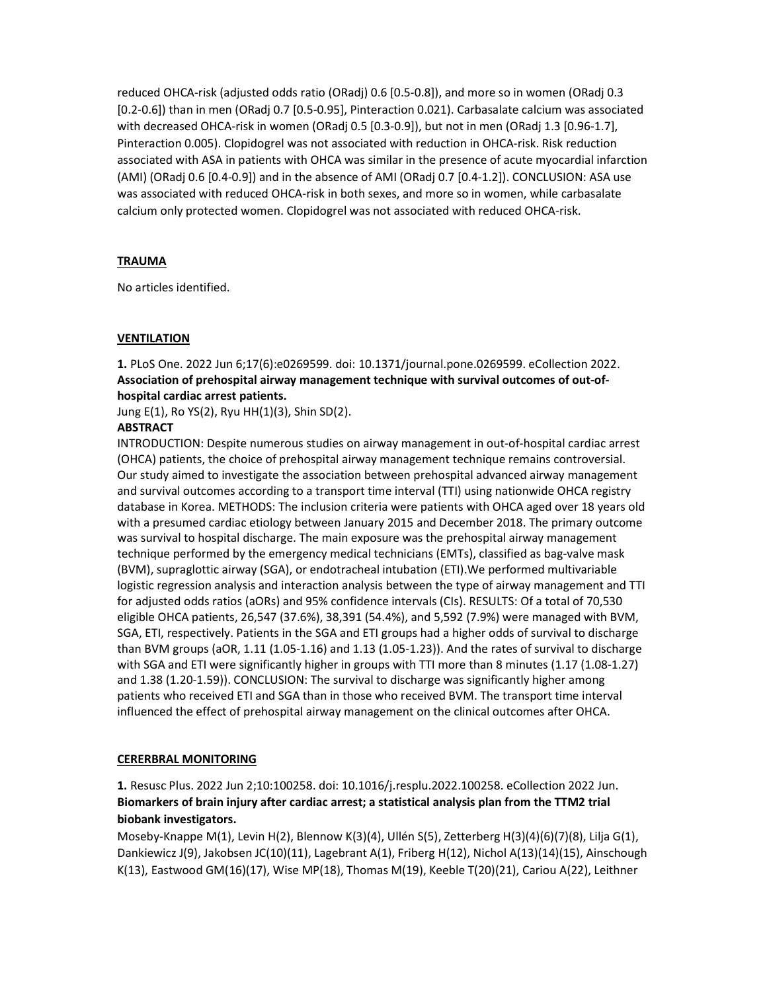reduced OHCA-risk (adjusted odds ratio (ORadj) 0.6 [0.5-0.8]), and more so in women (ORadj 0.3 [0.2-0.6]) than in men (ORadj 0.7 [0.5-0.95], Pinteraction 0.021). Carbasalate calcium was associated with decreased OHCA-risk in women (ORadj 0.5 [0.3-0.9]), but not in men (ORadj 1.3 [0.96-1.7], Pinteraction 0.005). Clopidogrel was not associated with reduction in OHCA-risk. Risk reduction associated with ASA in patients with OHCA was similar in the presence of acute myocardial infarction (AMI) (ORadj 0.6 [0.4-0.9]) and in the absence of AMI (ORadj 0.7 [0.4-1.2]). CONCLUSION: ASA use was associated with reduced OHCA-risk in both sexes, and more so in women, while carbasalate calcium only protected women. Clopidogrel was not associated with reduced OHCA-risk.

## **TRAUMA**

No articles identified.

### VENTILATION

1. PLoS One. 2022 Jun 6;17(6):e0269599. doi: 10.1371/journal.pone.0269599. eCollection 2022. Association of prehospital airway management technique with survival outcomes of out-ofhospital cardiac arrest patients.

Jung E(1), Ro YS(2), Ryu HH(1)(3), Shin SD(2).

### **ABSTRACT**

INTRODUCTION: Despite numerous studies on airway management in out-of-hospital cardiac arrest (OHCA) patients, the choice of prehospital airway management technique remains controversial. Our study aimed to investigate the association between prehospital advanced airway management and survival outcomes according to a transport time interval (TTI) using nationwide OHCA registry database in Korea. METHODS: The inclusion criteria were patients with OHCA aged over 18 years old with a presumed cardiac etiology between January 2015 and December 2018. The primary outcome was survival to hospital discharge. The main exposure was the prehospital airway management technique performed by the emergency medical technicians (EMTs), classified as bag-valve mask (BVM), supraglottic airway (SGA), or endotracheal intubation (ETI).We performed multivariable logistic regression analysis and interaction analysis between the type of airway management and TTI for adjusted odds ratios (aORs) and 95% confidence intervals (CIs). RESULTS: Of a total of 70,530 eligible OHCA patients, 26,547 (37.6%), 38,391 (54.4%), and 5,592 (7.9%) were managed with BVM, SGA, ETI, respectively. Patients in the SGA and ETI groups had a higher odds of survival to discharge than BVM groups (aOR, 1.11 (1.05-1.16) and 1.13 (1.05-1.23)). And the rates of survival to discharge with SGA and ETI were significantly higher in groups with TTI more than 8 minutes (1.17 (1.08-1.27) and 1.38 (1.20-1.59)). CONCLUSION: The survival to discharge was significantly higher among patients who received ETI and SGA than in those who received BVM. The transport time interval influenced the effect of prehospital airway management on the clinical outcomes after OHCA.

### CERERBRAL MONITORING

1. Resusc Plus. 2022 Jun 2;10:100258. doi: 10.1016/j.resplu.2022.100258. eCollection 2022 Jun. Biomarkers of brain injury after cardiac arrest; a statistical analysis plan from the TTM2 trial biobank investigators.

Moseby-Knappe M(1), Levin H(2), Blennow K(3)(4), Ullén S(5), Zetterberg H(3)(4)(6)(7)(8), Lilja G(1), Dankiewicz J(9), Jakobsen JC(10)(11), Lagebrant A(1), Friberg H(12), Nichol A(13)(14)(15), Ainschough K(13), Eastwood GM(16)(17), Wise MP(18), Thomas M(19), Keeble T(20)(21), Cariou A(22), Leithner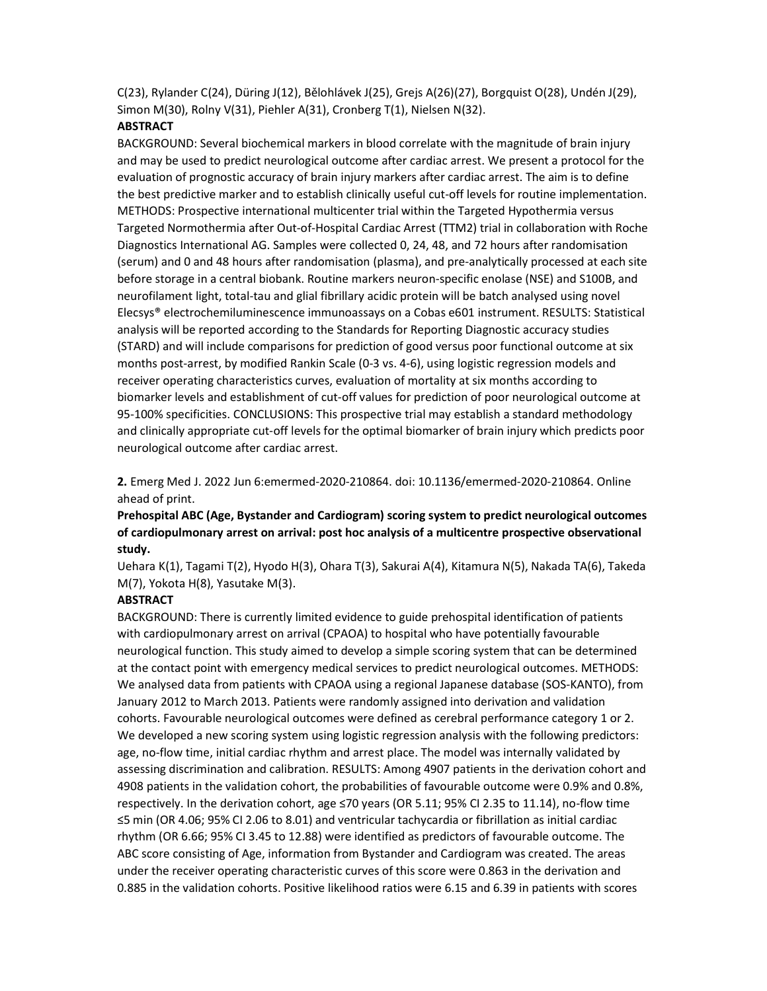C(23), Rylander C(24), Düring J(12), Bělohlávek J(25), Grejs A(26)(27), Borgquist O(28), Undén J(29), Simon M(30), Rolny V(31), Piehler A(31), Cronberg T(1), Nielsen N(32).

#### **ABSTRACT**

BACKGROUND: Several biochemical markers in blood correlate with the magnitude of brain injury and may be used to predict neurological outcome after cardiac arrest. We present a protocol for the evaluation of prognostic accuracy of brain injury markers after cardiac arrest. The aim is to define the best predictive marker and to establish clinically useful cut-off levels for routine implementation. METHODS: Prospective international multicenter trial within the Targeted Hypothermia versus Targeted Normothermia after Out-of-Hospital Cardiac Arrest (TTM2) trial in collaboration with Roche Diagnostics International AG. Samples were collected 0, 24, 48, and 72 hours after randomisation (serum) and 0 and 48 hours after randomisation (plasma), and pre-analytically processed at each site before storage in a central biobank. Routine markers neuron-specific enolase (NSE) and S100B, and neurofilament light, total-tau and glial fibrillary acidic protein will be batch analysed using novel Elecsys® electrochemiluminescence immunoassays on a Cobas e601 instrument. RESULTS: Statistical analysis will be reported according to the Standards for Reporting Diagnostic accuracy studies (STARD) and will include comparisons for prediction of good versus poor functional outcome at six months post-arrest, by modified Rankin Scale (0-3 vs. 4-6), using logistic regression models and receiver operating characteristics curves, evaluation of mortality at six months according to biomarker levels and establishment of cut-off values for prediction of poor neurological outcome at 95-100% specificities. CONCLUSIONS: This prospective trial may establish a standard methodology and clinically appropriate cut-off levels for the optimal biomarker of brain injury which predicts poor neurological outcome after cardiac arrest.

2. Emerg Med J. 2022 Jun 6:emermed-2020-210864. doi: 10.1136/emermed-2020-210864. Online ahead of print.

# Prehospital ABC (Age, Bystander and Cardiogram) scoring system to predict neurological outcomes of cardiopulmonary arrest on arrival: post hoc analysis of a multicentre prospective observational study.

Uehara K(1), Tagami T(2), Hyodo H(3), Ohara T(3), Sakurai A(4), Kitamura N(5), Nakada TA(6), Takeda M(7), Yokota H(8), Yasutake M(3).

#### ABSTRACT

BACKGROUND: There is currently limited evidence to guide prehospital identification of patients with cardiopulmonary arrest on arrival (CPAOA) to hospital who have potentially favourable neurological function. This study aimed to develop a simple scoring system that can be determined at the contact point with emergency medical services to predict neurological outcomes. METHODS: We analysed data from patients with CPAOA using a regional Japanese database (SOS-KANTO), from January 2012 to March 2013. Patients were randomly assigned into derivation and validation cohorts. Favourable neurological outcomes were defined as cerebral performance category 1 or 2. We developed a new scoring system using logistic regression analysis with the following predictors: age, no-flow time, initial cardiac rhythm and arrest place. The model was internally validated by assessing discrimination and calibration. RESULTS: Among 4907 patients in the derivation cohort and 4908 patients in the validation cohort, the probabilities of favourable outcome were 0.9% and 0.8%, respectively. In the derivation cohort, age ≤70 years (OR 5.11; 95% CI 2.35 to 11.14), no-flow time ≤5 min (OR 4.06; 95% CI 2.06 to 8.01) and ventricular tachycardia or fibrillation as initial cardiac rhythm (OR 6.66; 95% CI 3.45 to 12.88) were identified as predictors of favourable outcome. The ABC score consisting of Age, information from Bystander and Cardiogram was created. The areas under the receiver operating characteristic curves of this score were 0.863 in the derivation and 0.885 in the validation cohorts. Positive likelihood ratios were 6.15 and 6.39 in patients with scores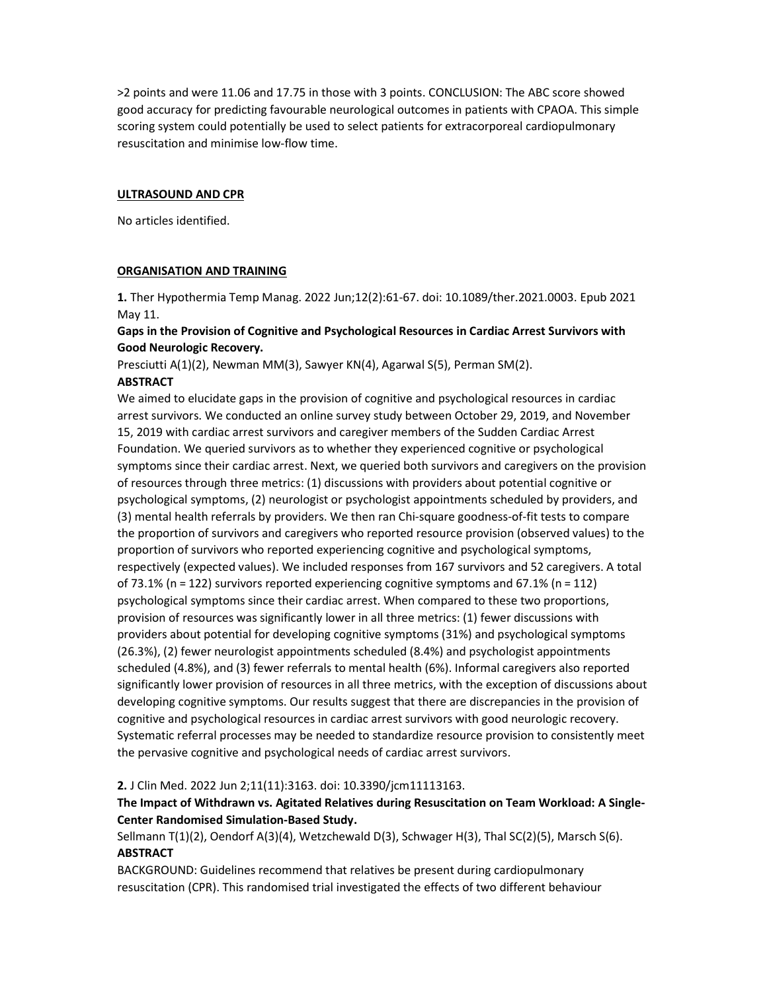>2 points and were 11.06 and 17.75 in those with 3 points. CONCLUSION: The ABC score showed good accuracy for predicting favourable neurological outcomes in patients with CPAOA. This simple scoring system could potentially be used to select patients for extracorporeal cardiopulmonary resuscitation and minimise low-flow time.

#### ULTRASOUND AND CPR

No articles identified.

#### ORGANISATION AND TRAINING

1. Ther Hypothermia Temp Manag. 2022 Jun;12(2):61-67. doi: 10.1089/ther.2021.0003. Epub 2021 May 11.

### Gaps in the Provision of Cognitive and Psychological Resources in Cardiac Arrest Survivors with Good Neurologic Recovery.

Presciutti A(1)(2), Newman MM(3), Sawyer KN(4), Agarwal S(5), Perman SM(2).

### **ABSTRACT**

We aimed to elucidate gaps in the provision of cognitive and psychological resources in cardiac arrest survivors. We conducted an online survey study between October 29, 2019, and November 15, 2019 with cardiac arrest survivors and caregiver members of the Sudden Cardiac Arrest Foundation. We queried survivors as to whether they experienced cognitive or psychological symptoms since their cardiac arrest. Next, we queried both survivors and caregivers on the provision of resources through three metrics: (1) discussions with providers about potential cognitive or psychological symptoms, (2) neurologist or psychologist appointments scheduled by providers, and (3) mental health referrals by providers. We then ran Chi-square goodness-of-fit tests to compare the proportion of survivors and caregivers who reported resource provision (observed values) to the proportion of survivors who reported experiencing cognitive and psychological symptoms, respectively (expected values). We included responses from 167 survivors and 52 caregivers. A total of 73.1% (n = 122) survivors reported experiencing cognitive symptoms and 67.1% (n = 112) psychological symptoms since their cardiac arrest. When compared to these two proportions, provision of resources was significantly lower in all three metrics: (1) fewer discussions with providers about potential for developing cognitive symptoms (31%) and psychological symptoms (26.3%), (2) fewer neurologist appointments scheduled (8.4%) and psychologist appointments scheduled (4.8%), and (3) fewer referrals to mental health (6%). Informal caregivers also reported significantly lower provision of resources in all three metrics, with the exception of discussions about developing cognitive symptoms. Our results suggest that there are discrepancies in the provision of cognitive and psychological resources in cardiac arrest survivors with good neurologic recovery. Systematic referral processes may be needed to standardize resource provision to consistently meet the pervasive cognitive and psychological needs of cardiac arrest survivors.

### 2. J Clin Med. 2022 Jun 2;11(11):3163. doi: 10.3390/jcm11113163.

## The Impact of Withdrawn vs. Agitated Relatives during Resuscitation on Team Workload: A Single-Center Randomised Simulation-Based Study.

Sellmann T(1)(2), Oendorf A(3)(4), Wetzchewald D(3), Schwager H(3), Thal SC(2)(5), Marsch S(6). **ABSTRACT** 

BACKGROUND: Guidelines recommend that relatives be present during cardiopulmonary resuscitation (CPR). This randomised trial investigated the effects of two different behaviour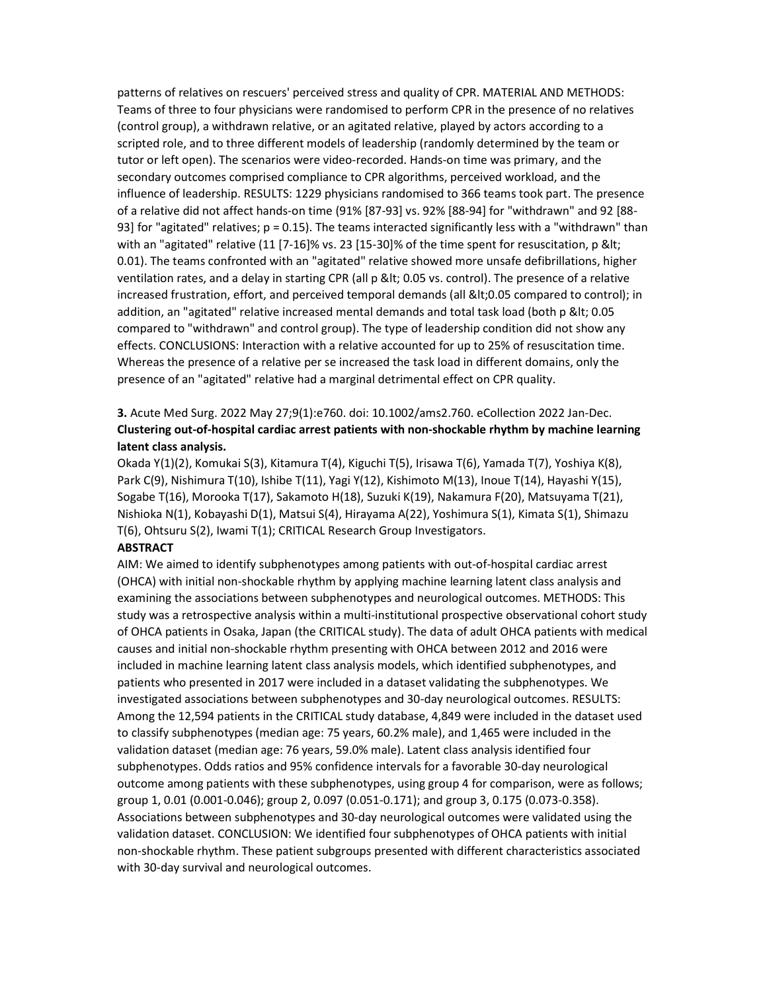patterns of relatives on rescuers' perceived stress and quality of CPR. MATERIAL AND METHODS: Teams of three to four physicians were randomised to perform CPR in the presence of no relatives (control group), a withdrawn relative, or an agitated relative, played by actors according to a scripted role, and to three different models of leadership (randomly determined by the team or tutor or left open). The scenarios were video-recorded. Hands-on time was primary, and the secondary outcomes comprised compliance to CPR algorithms, perceived workload, and the influence of leadership. RESULTS: 1229 physicians randomised to 366 teams took part. The presence of a relative did not affect hands-on time (91% [87-93] vs. 92% [88-94] for "withdrawn" and 92 [88- 93] for "agitated" relatives;  $p = 0.15$ ). The teams interacted significantly less with a "withdrawn" than with an "agitated" relative  $(11 [7-16]\%$  vs. 23  $[15-30]\%$  of the time spent for resuscitation, p < 0.01). The teams confronted with an "agitated" relative showed more unsafe defibrillations, higher ventilation rates, and a delay in starting CPR (all p < 0.05 vs. control). The presence of a relative increased frustration, effort, and perceived temporal demands (all <0.05 compared to control); in addition, an "agitated" relative increased mental demands and total task load (both p < 0.05 compared to "withdrawn" and control group). The type of leadership condition did not show any effects. CONCLUSIONS: Interaction with a relative accounted for up to 25% of resuscitation time. Whereas the presence of a relative per se increased the task load in different domains, only the presence of an "agitated" relative had a marginal detrimental effect on CPR quality.

# 3. Acute Med Surg. 2022 May 27;9(1):e760. doi: 10.1002/ams2.760. eCollection 2022 Jan-Dec. Clustering out-of-hospital cardiac arrest patients with non-shockable rhythm by machine learning latent class analysis.

Okada Y(1)(2), Komukai S(3), Kitamura T(4), Kiguchi T(5), Irisawa T(6), Yamada T(7), Yoshiya K(8), Park C(9), Nishimura T(10), Ishibe T(11), Yagi Y(12), Kishimoto M(13), Inoue T(14), Hayashi Y(15), Sogabe T(16), Morooka T(17), Sakamoto H(18), Suzuki K(19), Nakamura F(20), Matsuyama T(21), Nishioka N(1), Kobayashi D(1), Matsui S(4), Hirayama A(22), Yoshimura S(1), Kimata S(1), Shimazu T(6), Ohtsuru S(2), Iwami T(1); CRITICAL Research Group Investigators.

### ABSTRACT

AIM: We aimed to identify subphenotypes among patients with out-of-hospital cardiac arrest (OHCA) with initial non-shockable rhythm by applying machine learning latent class analysis and examining the associations between subphenotypes and neurological outcomes. METHODS: This study was a retrospective analysis within a multi-institutional prospective observational cohort study of OHCA patients in Osaka, Japan (the CRITICAL study). The data of adult OHCA patients with medical causes and initial non-shockable rhythm presenting with OHCA between 2012 and 2016 were included in machine learning latent class analysis models, which identified subphenotypes, and patients who presented in 2017 were included in a dataset validating the subphenotypes. We investigated associations between subphenotypes and 30-day neurological outcomes. RESULTS: Among the 12,594 patients in the CRITICAL study database, 4,849 were included in the dataset used to classify subphenotypes (median age: 75 years, 60.2% male), and 1,465 were included in the validation dataset (median age: 76 years, 59.0% male). Latent class analysis identified four subphenotypes. Odds ratios and 95% confidence intervals for a favorable 30-day neurological outcome among patients with these subphenotypes, using group 4 for comparison, were as follows; group 1, 0.01 (0.001-0.046); group 2, 0.097 (0.051-0.171); and group 3, 0.175 (0.073-0.358). Associations between subphenotypes and 30-day neurological outcomes were validated using the validation dataset. CONCLUSION: We identified four subphenotypes of OHCA patients with initial non-shockable rhythm. These patient subgroups presented with different characteristics associated with 30-day survival and neurological outcomes.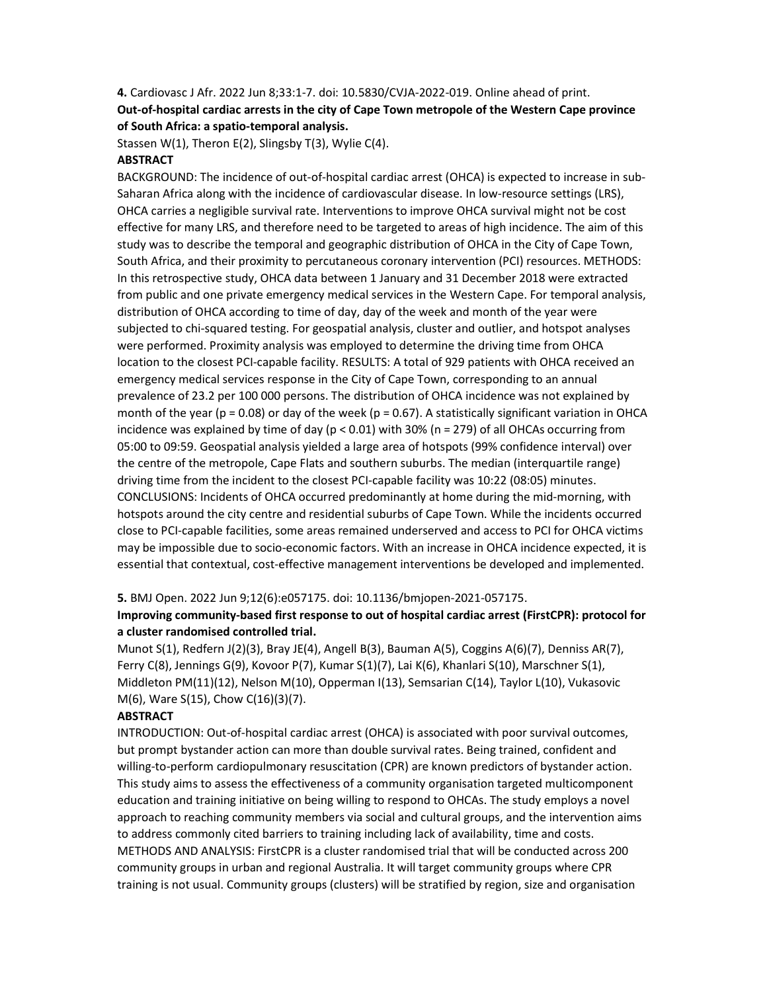# 4. Cardiovasc J Afr. 2022 Jun 8;33:1-7. doi: 10.5830/CVJA-2022-019. Online ahead of print. Out-of-hospital cardiac arrests in the city of Cape Town metropole of the Western Cape province of South Africa: a spatio-temporal analysis.

Stassen W(1), Theron E(2), Slingsby T(3), Wylie C(4).

### ABSTRACT

BACKGROUND: The incidence of out-of-hospital cardiac arrest (OHCA) is expected to increase in sub-Saharan Africa along with the incidence of cardiovascular disease. In low-resource settings (LRS), OHCA carries a negligible survival rate. Interventions to improve OHCA survival might not be cost effective for many LRS, and therefore need to be targeted to areas of high incidence. The aim of this study was to describe the temporal and geographic distribution of OHCA in the City of Cape Town, South Africa, and their proximity to percutaneous coronary intervention (PCI) resources. METHODS: In this retrospective study, OHCA data between 1 January and 31 December 2018 were extracted from public and one private emergency medical services in the Western Cape. For temporal analysis, distribution of OHCA according to time of day, day of the week and month of the year were subjected to chi-squared testing. For geospatial analysis, cluster and outlier, and hotspot analyses were performed. Proximity analysis was employed to determine the driving time from OHCA location to the closest PCI-capable facility. RESULTS: A total of 929 patients with OHCA received an emergency medical services response in the City of Cape Town, corresponding to an annual prevalence of 23.2 per 100 000 persons. The distribution of OHCA incidence was not explained by month of the year ( $p = 0.08$ ) or day of the week ( $p = 0.67$ ). A statistically significant variation in OHCA incidence was explained by time of day ( $p < 0.01$ ) with 30% ( $n = 279$ ) of all OHCAs occurring from 05:00 to 09:59. Geospatial analysis yielded a large area of hotspots (99% confidence interval) over the centre of the metropole, Cape Flats and southern suburbs. The median (interquartile range) driving time from the incident to the closest PCI-capable facility was 10:22 (08:05) minutes. CONCLUSIONS: Incidents of OHCA occurred predominantly at home during the mid-morning, with hotspots around the city centre and residential suburbs of Cape Town. While the incidents occurred close to PCI-capable facilities, some areas remained underserved and access to PCI for OHCA victims may be impossible due to socio-economic factors. With an increase in OHCA incidence expected, it is essential that contextual, cost-effective management interventions be developed and implemented.

### 5. BMJ Open. 2022 Jun 9;12(6):e057175. doi: 10.1136/bmjopen-2021-057175.

### Improving community-based first response to out of hospital cardiac arrest (FirstCPR): protocol for a cluster randomised controlled trial.

Munot S(1), Redfern J(2)(3), Bray JE(4), Angell B(3), Bauman A(5), Coggins A(6)(7), Denniss AR(7), Ferry C(8), Jennings G(9), Kovoor P(7), Kumar S(1)(7), Lai K(6), Khanlari S(10), Marschner S(1), Middleton PM(11)(12), Nelson M(10), Opperman I(13), Semsarian C(14), Taylor L(10), Vukasovic M(6), Ware S(15), Chow C(16)(3)(7).

### ABSTRACT

INTRODUCTION: Out-of-hospital cardiac arrest (OHCA) is associated with poor survival outcomes, but prompt bystander action can more than double survival rates. Being trained, confident and willing-to-perform cardiopulmonary resuscitation (CPR) are known predictors of bystander action. This study aims to assess the effectiveness of a community organisation targeted multicomponent education and training initiative on being willing to respond to OHCAs. The study employs a novel approach to reaching community members via social and cultural groups, and the intervention aims to address commonly cited barriers to training including lack of availability, time and costs. METHODS AND ANALYSIS: FirstCPR is a cluster randomised trial that will be conducted across 200 community groups in urban and regional Australia. It will target community groups where CPR training is not usual. Community groups (clusters) will be stratified by region, size and organisation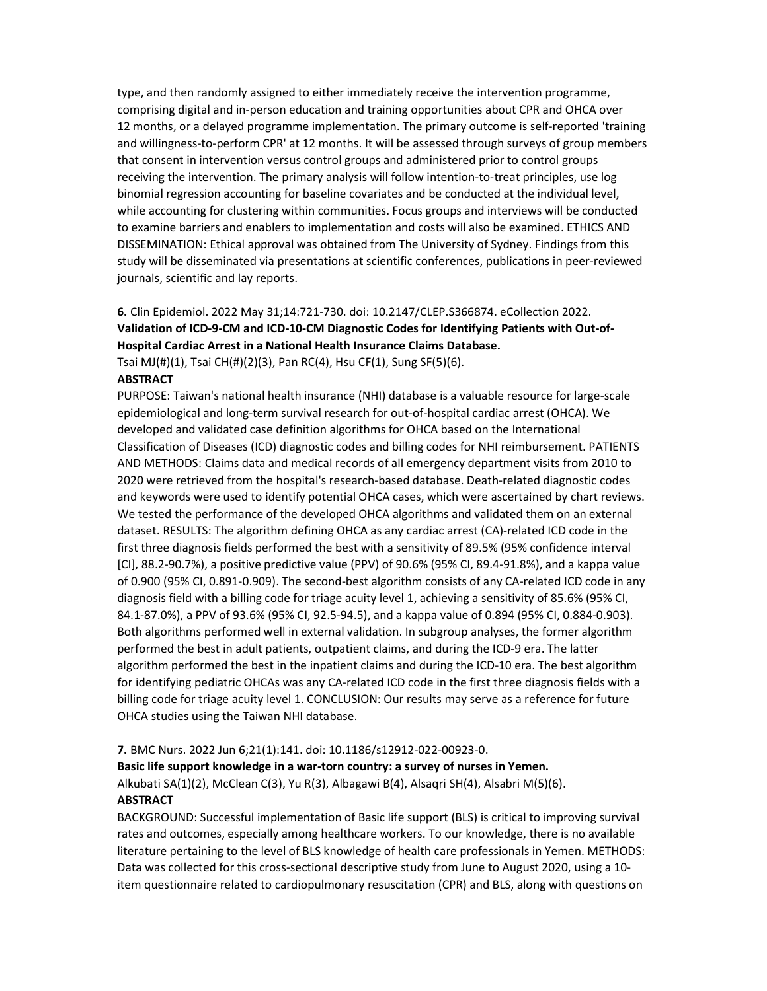type, and then randomly assigned to either immediately receive the intervention programme, comprising digital and in-person education and training opportunities about CPR and OHCA over 12 months, or a delayed programme implementation. The primary outcome is self-reported 'training and willingness-to-perform CPR' at 12 months. It will be assessed through surveys of group members that consent in intervention versus control groups and administered prior to control groups receiving the intervention. The primary analysis will follow intention-to-treat principles, use log binomial regression accounting for baseline covariates and be conducted at the individual level, while accounting for clustering within communities. Focus groups and interviews will be conducted to examine barriers and enablers to implementation and costs will also be examined. ETHICS AND DISSEMINATION: Ethical approval was obtained from The University of Sydney. Findings from this study will be disseminated via presentations at scientific conferences, publications in peer-reviewed journals, scientific and lay reports.

# 6. Clin Epidemiol. 2022 May 31;14:721-730. doi: 10.2147/CLEP.S366874. eCollection 2022. Validation of ICD-9-CM and ICD-10-CM Diagnostic Codes for Identifying Patients with Out-of-Hospital Cardiac Arrest in a National Health Insurance Claims Database.

Tsai MJ(#)(1), Tsai CH(#)(2)(3), Pan RC(4), Hsu CF(1), Sung SF(5)(6).

## **ABSTRACT**

PURPOSE: Taiwan's national health insurance (NHI) database is a valuable resource for large-scale epidemiological and long-term survival research for out-of-hospital cardiac arrest (OHCA). We developed and validated case definition algorithms for OHCA based on the International Classification of Diseases (ICD) diagnostic codes and billing codes for NHI reimbursement. PATIENTS AND METHODS: Claims data and medical records of all emergency department visits from 2010 to 2020 were retrieved from the hospital's research-based database. Death-related diagnostic codes and keywords were used to identify potential OHCA cases, which were ascertained by chart reviews. We tested the performance of the developed OHCA algorithms and validated them on an external dataset. RESULTS: The algorithm defining OHCA as any cardiac arrest (CA)-related ICD code in the first three diagnosis fields performed the best with a sensitivity of 89.5% (95% confidence interval [CI], 88.2-90.7%), a positive predictive value (PPV) of 90.6% (95% CI, 89.4-91.8%), and a kappa value of 0.900 (95% CI, 0.891-0.909). The second-best algorithm consists of any CA-related ICD code in any diagnosis field with a billing code for triage acuity level 1, achieving a sensitivity of 85.6% (95% CI, 84.1-87.0%), a PPV of 93.6% (95% CI, 92.5-94.5), and a kappa value of 0.894 (95% CI, 0.884-0.903). Both algorithms performed well in external validation. In subgroup analyses, the former algorithm performed the best in adult patients, outpatient claims, and during the ICD-9 era. The latter algorithm performed the best in the inpatient claims and during the ICD-10 era. The best algorithm for identifying pediatric OHCAs was any CA-related ICD code in the first three diagnosis fields with a billing code for triage acuity level 1. CONCLUSION: Our results may serve as a reference for future OHCA studies using the Taiwan NHI database.

### 7. BMC Nurs. 2022 Jun 6;21(1):141. doi: 10.1186/s12912-022-00923-0.

Basic life support knowledge in a war-torn country: a survey of nurses in Yemen.

Alkubati SA(1)(2), McClean C(3), Yu R(3), Albagawi B(4), Alsaqri SH(4), Alsabri M(5)(6). **ABSTRACT** 

BACKGROUND: Successful implementation of Basic life support (BLS) is critical to improving survival rates and outcomes, especially among healthcare workers. To our knowledge, there is no available literature pertaining to the level of BLS knowledge of health care professionals in Yemen. METHODS: Data was collected for this cross-sectional descriptive study from June to August 2020, using a 10 item questionnaire related to cardiopulmonary resuscitation (CPR) and BLS, along with questions on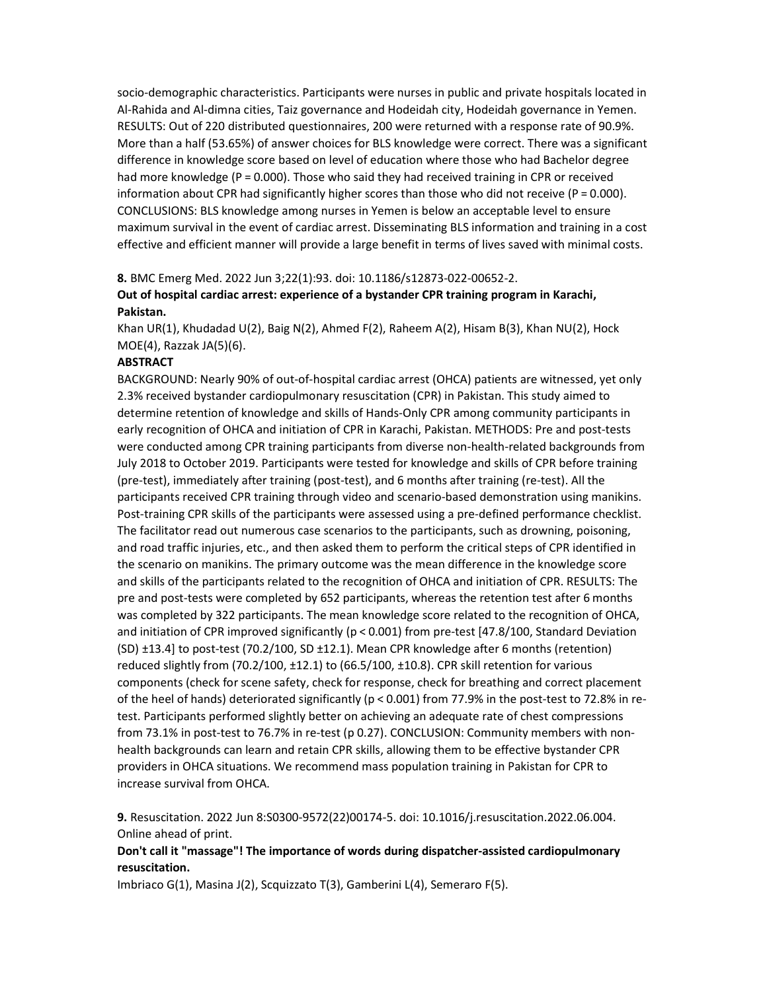socio-demographic characteristics. Participants were nurses in public and private hospitals located in Al-Rahida and Al-dimna cities, Taiz governance and Hodeidah city, Hodeidah governance in Yemen. RESULTS: Out of 220 distributed questionnaires, 200 were returned with a response rate of 90.9%. More than a half (53.65%) of answer choices for BLS knowledge were correct. There was a significant difference in knowledge score based on level of education where those who had Bachelor degree had more knowledge (P = 0.000). Those who said they had received training in CPR or received information about CPR had significantly higher scores than those who did not receive ( $P = 0.000$ ). CONCLUSIONS: BLS knowledge among nurses in Yemen is below an acceptable level to ensure maximum survival in the event of cardiac arrest. Disseminating BLS information and training in a cost effective and efficient manner will provide a large benefit in terms of lives saved with minimal costs.

#### 8. BMC Emerg Med. 2022 Jun 3;22(1):93. doi: 10.1186/s12873-022-00652-2.

# Out of hospital cardiac arrest: experience of a bystander CPR training program in Karachi, Pakistan.

Khan UR(1), Khudadad U(2), Baig N(2), Ahmed F(2), Raheem A(2), Hisam B(3), Khan NU(2), Hock MOE(4), Razzak JA(5)(6).

#### ABSTRACT

BACKGROUND: Nearly 90% of out-of-hospital cardiac arrest (OHCA) patients are witnessed, yet only 2.3% received bystander cardiopulmonary resuscitation (CPR) in Pakistan. This study aimed to determine retention of knowledge and skills of Hands-Only CPR among community participants in early recognition of OHCA and initiation of CPR in Karachi, Pakistan. METHODS: Pre and post-tests were conducted among CPR training participants from diverse non-health-related backgrounds from July 2018 to October 2019. Participants were tested for knowledge and skills of CPR before training (pre-test), immediately after training (post-test), and 6 months after training (re-test). All the participants received CPR training through video and scenario-based demonstration using manikins. Post-training CPR skills of the participants were assessed using a pre-defined performance checklist. The facilitator read out numerous case scenarios to the participants, such as drowning, poisoning, and road traffic injuries, etc., and then asked them to perform the critical steps of CPR identified in the scenario on manikins. The primary outcome was the mean difference in the knowledge score and skills of the participants related to the recognition of OHCA and initiation of CPR. RESULTS: The pre and post-tests were completed by 652 participants, whereas the retention test after 6 months was completed by 322 participants. The mean knowledge score related to the recognition of OHCA, and initiation of CPR improved significantly (p < 0.001) from pre-test [47.8/100, Standard Deviation (SD) ±13.4] to post-test (70.2/100, SD ±12.1). Mean CPR knowledge after 6 months (retention) reduced slightly from (70.2/100, ±12.1) to (66.5/100, ±10.8). CPR skill retention for various components (check for scene safety, check for response, check for breathing and correct placement of the heel of hands) deteriorated significantly (p < 0.001) from 77.9% in the post-test to 72.8% in retest. Participants performed slightly better on achieving an adequate rate of chest compressions from 73.1% in post-test to 76.7% in re-test (p 0.27). CONCLUSION: Community members with nonhealth backgrounds can learn and retain CPR skills, allowing them to be effective bystander CPR providers in OHCA situations. We recommend mass population training in Pakistan for CPR to increase survival from OHCA.

9. Resuscitation. 2022 Jun 8:S0300-9572(22)00174-5. doi: 10.1016/j.resuscitation.2022.06.004. Online ahead of print.

## Don't call it "massage"! The importance of words during dispatcher-assisted cardiopulmonary resuscitation.

Imbriaco G(1), Masina J(2), Scquizzato T(3), Gamberini L(4), Semeraro F(5).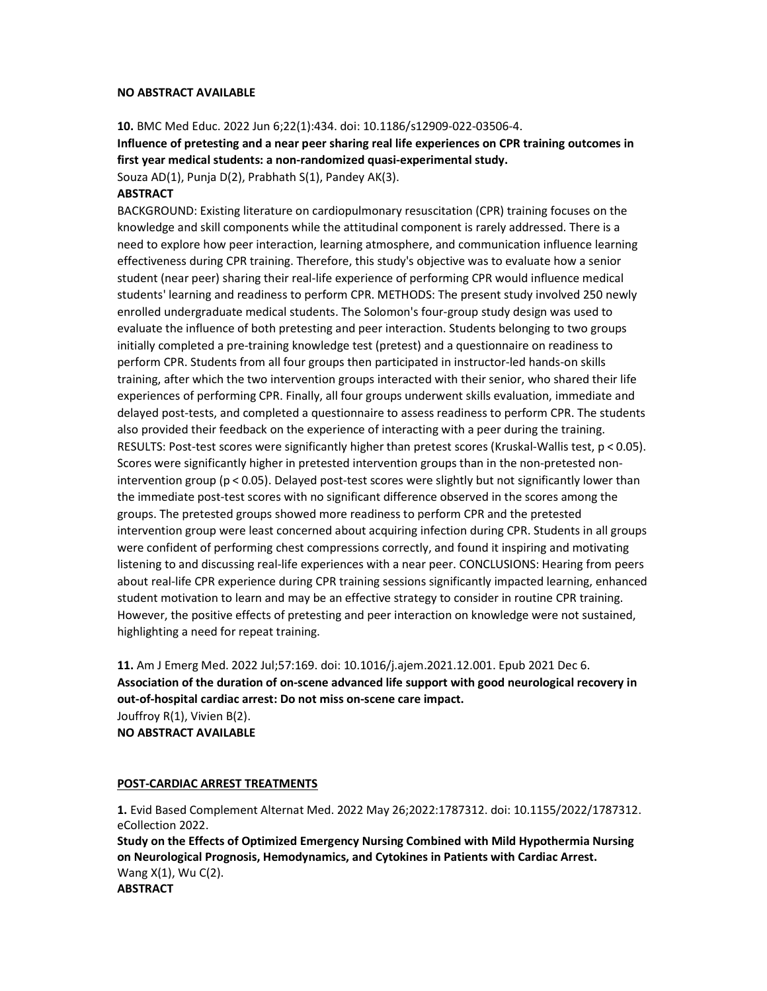#### NO ABSTRACT AVAILABLE

10. BMC Med Educ. 2022 Jun 6;22(1):434. doi: 10.1186/s12909-022-03506-4.

Influence of pretesting and a near peer sharing real life experiences on CPR training outcomes in first year medical students: a non-randomized quasi-experimental study. Souza AD(1), Punja D(2), Prabhath S(1), Pandey AK(3).

#### ABSTRACT

BACKGROUND: Existing literature on cardiopulmonary resuscitation (CPR) training focuses on the knowledge and skill components while the attitudinal component is rarely addressed. There is a need to explore how peer interaction, learning atmosphere, and communication influence learning effectiveness during CPR training. Therefore, this study's objective was to evaluate how a senior student (near peer) sharing their real-life experience of performing CPR would influence medical students' learning and readiness to perform CPR. METHODS: The present study involved 250 newly enrolled undergraduate medical students. The Solomon's four-group study design was used to evaluate the influence of both pretesting and peer interaction. Students belonging to two groups initially completed a pre-training knowledge test (pretest) and a questionnaire on readiness to perform CPR. Students from all four groups then participated in instructor-led hands-on skills training, after which the two intervention groups interacted with their senior, who shared their life experiences of performing CPR. Finally, all four groups underwent skills evaluation, immediate and delayed post-tests, and completed a questionnaire to assess readiness to perform CPR. The students also provided their feedback on the experience of interacting with a peer during the training. RESULTS: Post-test scores were significantly higher than pretest scores (Kruskal-Wallis test, p < 0.05). Scores were significantly higher in pretested intervention groups than in the non-pretested nonintervention group (p < 0.05). Delayed post-test scores were slightly but not significantly lower than the immediate post-test scores with no significant difference observed in the scores among the groups. The pretested groups showed more readiness to perform CPR and the pretested intervention group were least concerned about acquiring infection during CPR. Students in all groups were confident of performing chest compressions correctly, and found it inspiring and motivating listening to and discussing real-life experiences with a near peer. CONCLUSIONS: Hearing from peers about real-life CPR experience during CPR training sessions significantly impacted learning, enhanced student motivation to learn and may be an effective strategy to consider in routine CPR training. However, the positive effects of pretesting and peer interaction on knowledge were not sustained, highlighting a need for repeat training.

11. Am J Emerg Med. 2022 Jul;57:169. doi: 10.1016/j.ajem.2021.12.001. Epub 2021 Dec 6. Association of the duration of on-scene advanced life support with good neurological recovery in out-of-hospital cardiac arrest: Do not miss on-scene care impact. Jouffroy R(1), Vivien B(2). NO ABSTRACT AVAILABLE

#### POST-CARDIAC ARREST TREATMENTS

1. Evid Based Complement Alternat Med. 2022 May 26;2022:1787312. doi: 10.1155/2022/1787312. eCollection 2022. Study on the Effects of Optimized Emergency Nursing Combined with Mild Hypothermia Nursing on Neurological Prognosis, Hemodynamics, and Cytokines in Patients with Cardiac Arrest. Wang X(1), Wu C(2). **ABSTRACT**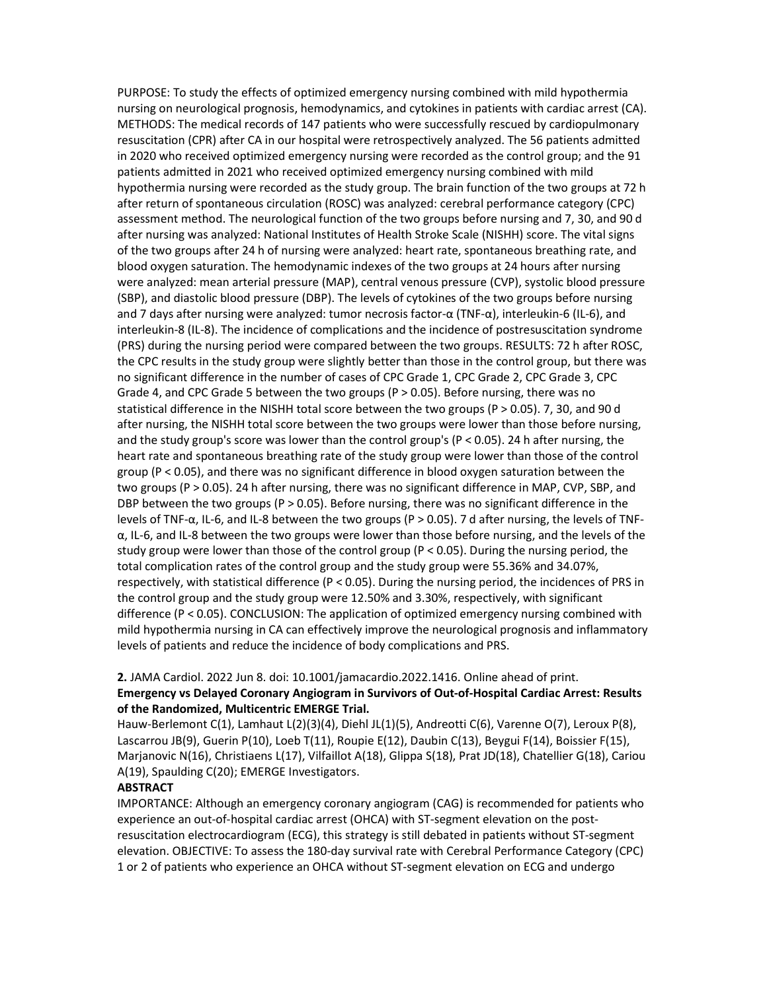PURPOSE: To study the effects of optimized emergency nursing combined with mild hypothermia nursing on neurological prognosis, hemodynamics, and cytokines in patients with cardiac arrest (CA). METHODS: The medical records of 147 patients who were successfully rescued by cardiopulmonary resuscitation (CPR) after CA in our hospital were retrospectively analyzed. The 56 patients admitted in 2020 who received optimized emergency nursing were recorded as the control group; and the 91 patients admitted in 2021 who received optimized emergency nursing combined with mild hypothermia nursing were recorded as the study group. The brain function of the two groups at 72 h after return of spontaneous circulation (ROSC) was analyzed: cerebral performance category (CPC) assessment method. The neurological function of the two groups before nursing and 7, 30, and 90 d after nursing was analyzed: National Institutes of Health Stroke Scale (NISHH) score. The vital signs of the two groups after 24 h of nursing were analyzed: heart rate, spontaneous breathing rate, and blood oxygen saturation. The hemodynamic indexes of the two groups at 24 hours after nursing were analyzed: mean arterial pressure (MAP), central venous pressure (CVP), systolic blood pressure (SBP), and diastolic blood pressure (DBP). The levels of cytokines of the two groups before nursing and 7 days after nursing were analyzed: tumor necrosis factor-α (TNF-α), interleukin-6 (IL-6), and interleukin-8 (IL-8). The incidence of complications and the incidence of postresuscitation syndrome (PRS) during the nursing period were compared between the two groups. RESULTS: 72 h after ROSC, the CPC results in the study group were slightly better than those in the control group, but there was no significant difference in the number of cases of CPC Grade 1, CPC Grade 2, CPC Grade 3, CPC Grade 4, and CPC Grade 5 between the two groups ( $P > 0.05$ ). Before nursing, there was no statistical difference in the NISHH total score between the two groups (P > 0.05). 7, 30, and 90 d after nursing, the NISHH total score between the two groups were lower than those before nursing, and the study group's score was lower than the control group's (P < 0.05). 24 h after nursing, the heart rate and spontaneous breathing rate of the study group were lower than those of the control group (P < 0.05), and there was no significant difference in blood oxygen saturation between the two groups (P > 0.05). 24 h after nursing, there was no significant difference in MAP, CVP, SBP, and DBP between the two groups ( $P > 0.05$ ). Before nursing, there was no significant difference in the levels of TNF-α, IL-6, and IL-8 between the two groups (P > 0.05). 7 d after nursing, the levels of TNF- $\alpha$ , IL-6, and IL-8 between the two groups were lower than those before nursing, and the levels of the study group were lower than those of the control group (P < 0.05). During the nursing period, the total complication rates of the control group and the study group were 55.36% and 34.07%, respectively, with statistical difference (P < 0.05). During the nursing period, the incidences of PRS in the control group and the study group were 12.50% and 3.30%, respectively, with significant difference (P < 0.05). CONCLUSION: The application of optimized emergency nursing combined with mild hypothermia nursing in CA can effectively improve the neurological prognosis and inflammatory levels of patients and reduce the incidence of body complications and PRS.

### 2. JAMA Cardiol. 2022 Jun 8. doi: 10.1001/jamacardio.2022.1416. Online ahead of print. Emergency vs Delayed Coronary Angiogram in Survivors of Out-of-Hospital Cardiac Arrest: Results of the Randomized, Multicentric EMERGE Trial.

Hauw-Berlemont C(1), Lamhaut L(2)(3)(4), Diehl JL(1)(5), Andreotti C(6), Varenne O(7), Leroux P(8), Lascarrou JB(9), Guerin P(10), Loeb T(11), Roupie E(12), Daubin C(13), Beygui F(14), Boissier F(15), Marjanovic N(16), Christiaens L(17), Vilfaillot A(18), Glippa S(18), Prat JD(18), Chatellier G(18), Cariou A(19), Spaulding C(20); EMERGE Investigators.

### ABSTRACT

IMPORTANCE: Although an emergency coronary angiogram (CAG) is recommended for patients who experience an out-of-hospital cardiac arrest (OHCA) with ST-segment elevation on the postresuscitation electrocardiogram (ECG), this strategy is still debated in patients without ST-segment elevation. OBJECTIVE: To assess the 180-day survival rate with Cerebral Performance Category (CPC) 1 or 2 of patients who experience an OHCA without ST-segment elevation on ECG and undergo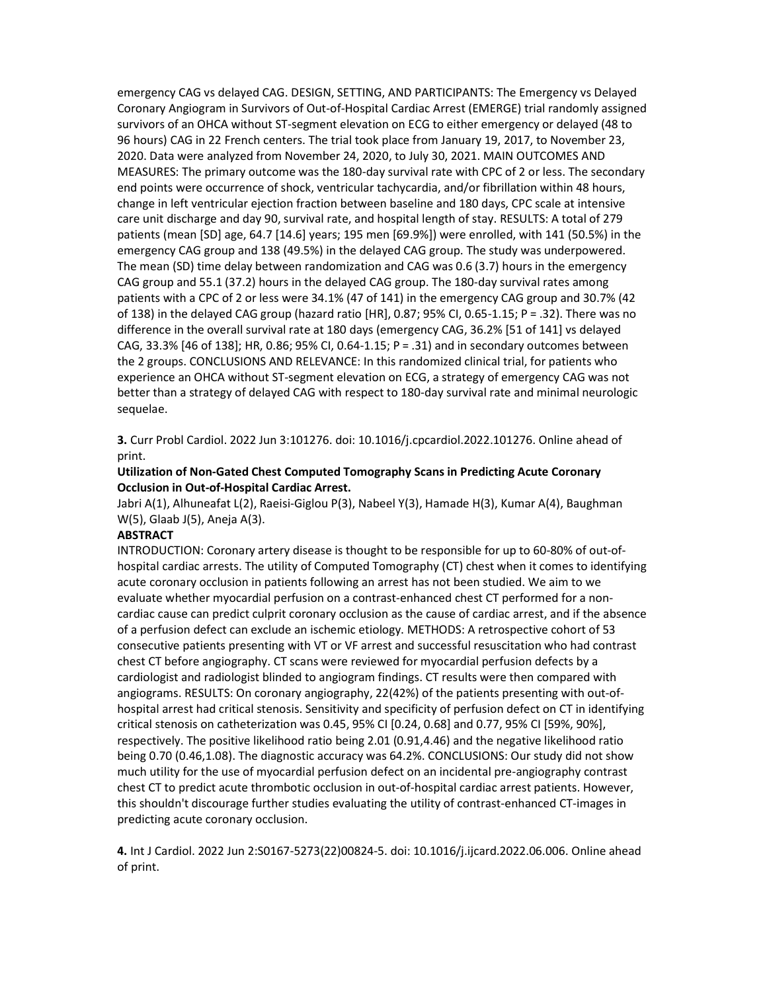emergency CAG vs delayed CAG. DESIGN, SETTING, AND PARTICIPANTS: The Emergency vs Delayed Coronary Angiogram in Survivors of Out-of-Hospital Cardiac Arrest (EMERGE) trial randomly assigned survivors of an OHCA without ST-segment elevation on ECG to either emergency or delayed (48 to 96 hours) CAG in 22 French centers. The trial took place from January 19, 2017, to November 23, 2020. Data were analyzed from November 24, 2020, to July 30, 2021. MAIN OUTCOMES AND MEASURES: The primary outcome was the 180-day survival rate with CPC of 2 or less. The secondary end points were occurrence of shock, ventricular tachycardia, and/or fibrillation within 48 hours, change in left ventricular ejection fraction between baseline and 180 days, CPC scale at intensive care unit discharge and day 90, survival rate, and hospital length of stay. RESULTS: A total of 279 patients (mean [SD] age, 64.7 [14.6] years; 195 men [69.9%]) were enrolled, with 141 (50.5%) in the emergency CAG group and 138 (49.5%) in the delayed CAG group. The study was underpowered. The mean (SD) time delay between randomization and CAG was 0.6 (3.7) hours in the emergency CAG group and 55.1 (37.2) hours in the delayed CAG group. The 180-day survival rates among patients with a CPC of 2 or less were 34.1% (47 of 141) in the emergency CAG group and 30.7% (42 of 138) in the delayed CAG group (hazard ratio [HR], 0.87; 95% CI, 0.65-1.15; P = .32). There was no difference in the overall survival rate at 180 days (emergency CAG, 36.2% [51 of 141] vs delayed CAG, 33.3% [46 of 138]; HR, 0.86; 95% CI, 0.64-1.15; P = .31) and in secondary outcomes between the 2 groups. CONCLUSIONS AND RELEVANCE: In this randomized clinical trial, for patients who experience an OHCA without ST-segment elevation on ECG, a strategy of emergency CAG was not better than a strategy of delayed CAG with respect to 180-day survival rate and minimal neurologic sequelae.

3. Curr Probl Cardiol. 2022 Jun 3:101276. doi: 10.1016/j.cpcardiol.2022.101276. Online ahead of print.

#### Utilization of Non-Gated Chest Computed Tomography Scans in Predicting Acute Coronary Occlusion in Out-of-Hospital Cardiac Arrest.

Jabri A(1), Alhuneafat L(2), Raeisi-Giglou P(3), Nabeel Y(3), Hamade H(3), Kumar A(4), Baughman W(5), Glaab J(5), Aneja A(3).

### **ABSTRACT**

INTRODUCTION: Coronary artery disease is thought to be responsible for up to 60-80% of out-ofhospital cardiac arrests. The utility of Computed Tomography (CT) chest when it comes to identifying acute coronary occlusion in patients following an arrest has not been studied. We aim to we evaluate whether myocardial perfusion on a contrast-enhanced chest CT performed for a noncardiac cause can predict culprit coronary occlusion as the cause of cardiac arrest, and if the absence of a perfusion defect can exclude an ischemic etiology. METHODS: A retrospective cohort of 53 consecutive patients presenting with VT or VF arrest and successful resuscitation who had contrast chest CT before angiography. CT scans were reviewed for myocardial perfusion defects by a cardiologist and radiologist blinded to angiogram findings. CT results were then compared with angiograms. RESULTS: On coronary angiography, 22(42%) of the patients presenting with out-ofhospital arrest had critical stenosis. Sensitivity and specificity of perfusion defect on CT in identifying critical stenosis on catheterization was 0.45, 95% CI [0.24, 0.68] and 0.77, 95% CI [59%, 90%], respectively. The positive likelihood ratio being 2.01 (0.91,4.46) and the negative likelihood ratio being 0.70 (0.46,1.08). The diagnostic accuracy was 64.2%. CONCLUSIONS: Our study did not show much utility for the use of myocardial perfusion defect on an incidental pre-angiography contrast chest CT to predict acute thrombotic occlusion in out-of-hospital cardiac arrest patients. However, this shouldn't discourage further studies evaluating the utility of contrast-enhanced CT-images in predicting acute coronary occlusion.

4. Int J Cardiol. 2022 Jun 2:S0167-5273(22)00824-5. doi: 10.1016/j.ijcard.2022.06.006. Online ahead of print.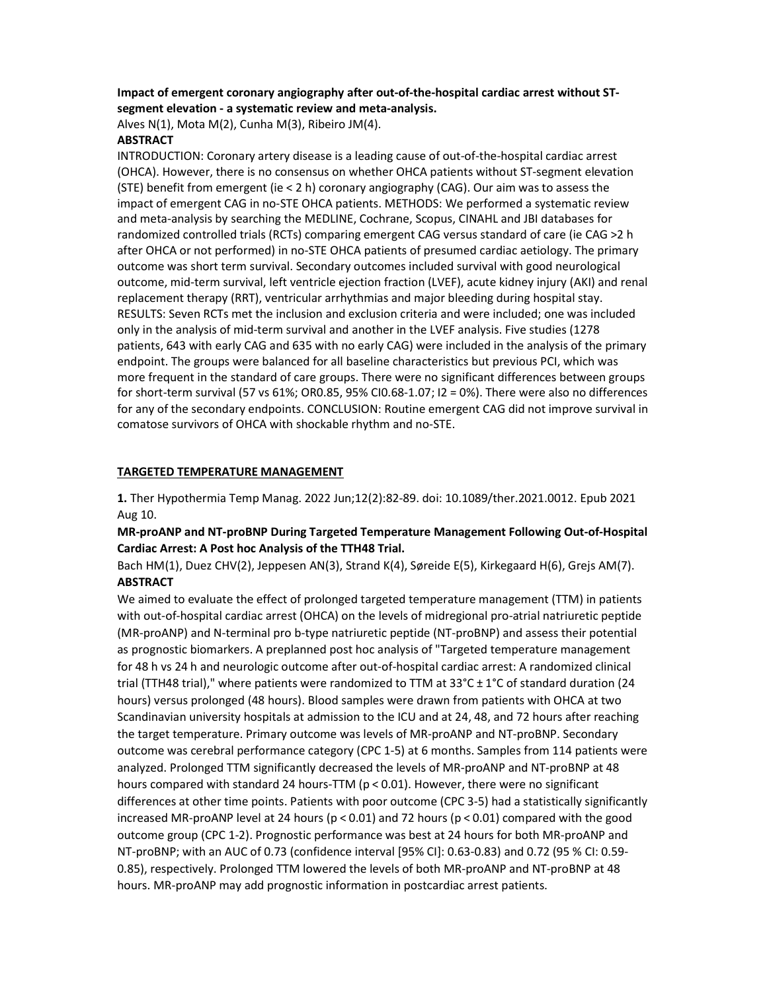### Impact of emergent coronary angiography after out-of-the-hospital cardiac arrest without STsegment elevation - a systematic review and meta-analysis.

Alves N(1), Mota M(2), Cunha M(3), Ribeiro JM(4).

### **ABSTRACT**

INTRODUCTION: Coronary artery disease is a leading cause of out-of-the-hospital cardiac arrest (OHCA). However, there is no consensus on whether OHCA patients without ST-segment elevation (STE) benefit from emergent (ie < 2 h) coronary angiography (CAG). Our aim was to assess the impact of emergent CAG in no-STE OHCA patients. METHODS: We performed a systematic review and meta-analysis by searching the MEDLINE, Cochrane, Scopus, CINAHL and JBI databases for randomized controlled trials (RCTs) comparing emergent CAG versus standard of care (ie CAG >2 h after OHCA or not performed) in no-STE OHCA patients of presumed cardiac aetiology. The primary outcome was short term survival. Secondary outcomes included survival with good neurological outcome, mid-term survival, left ventricle ejection fraction (LVEF), acute kidney injury (AKI) and renal replacement therapy (RRT), ventricular arrhythmias and major bleeding during hospital stay. RESULTS: Seven RCTs met the inclusion and exclusion criteria and were included; one was included only in the analysis of mid-term survival and another in the LVEF analysis. Five studies (1278 patients, 643 with early CAG and 635 with no early CAG) were included in the analysis of the primary endpoint. The groups were balanced for all baseline characteristics but previous PCI, which was more frequent in the standard of care groups. There were no significant differences between groups for short-term survival (57 vs 61%; OR0.85, 95% CI0.68-1.07; I2 = 0%). There were also no differences for any of the secondary endpoints. CONCLUSION: Routine emergent CAG did not improve survival in comatose survivors of OHCA with shockable rhythm and no-STE.

### TARGETED TEMPERATURE MANAGEMENT

1. Ther Hypothermia Temp Manag. 2022 Jun;12(2):82-89. doi: 10.1089/ther.2021.0012. Epub 2021 Aug 10.

MR-proANP and NT-proBNP During Targeted Temperature Management Following Out-of-Hospital Cardiac Arrest: A Post hoc Analysis of the TTH48 Trial.

Bach HM(1), Duez CHV(2), Jeppesen AN(3), Strand K(4), Søreide E(5), Kirkegaard H(6), Grejs AM(7). **ABSTRACT** 

We aimed to evaluate the effect of prolonged targeted temperature management (TTM) in patients with out-of-hospital cardiac arrest (OHCA) on the levels of midregional pro-atrial natriuretic peptide (MR-proANP) and N-terminal pro b-type natriuretic peptide (NT-proBNP) and assess their potential as prognostic biomarkers. A preplanned post hoc analysis of "Targeted temperature management for 48 h vs 24 h and neurologic outcome after out-of-hospital cardiac arrest: A randomized clinical trial (TTH48 trial)," where patients were randomized to TTM at 33°C ± 1°C of standard duration (24 hours) versus prolonged (48 hours). Blood samples were drawn from patients with OHCA at two Scandinavian university hospitals at admission to the ICU and at 24, 48, and 72 hours after reaching the target temperature. Primary outcome was levels of MR-proANP and NT-proBNP. Secondary outcome was cerebral performance category (CPC 1-5) at 6 months. Samples from 114 patients were analyzed. Prolonged TTM significantly decreased the levels of MR-proANP and NT-proBNP at 48 hours compared with standard 24 hours-TTM ( $p < 0.01$ ). However, there were no significant differences at other time points. Patients with poor outcome (CPC 3-5) had a statistically significantly increased MR-proANP level at 24 hours (p < 0.01) and 72 hours (p < 0.01) compared with the good outcome group (CPC 1-2). Prognostic performance was best at 24 hours for both MR-proANP and NT-proBNP; with an AUC of 0.73 (confidence interval [95% CI]: 0.63-0.83) and 0.72 (95 % CI: 0.59- 0.85), respectively. Prolonged TTM lowered the levels of both MR-proANP and NT-proBNP at 48 hours. MR-proANP may add prognostic information in postcardiac arrest patients.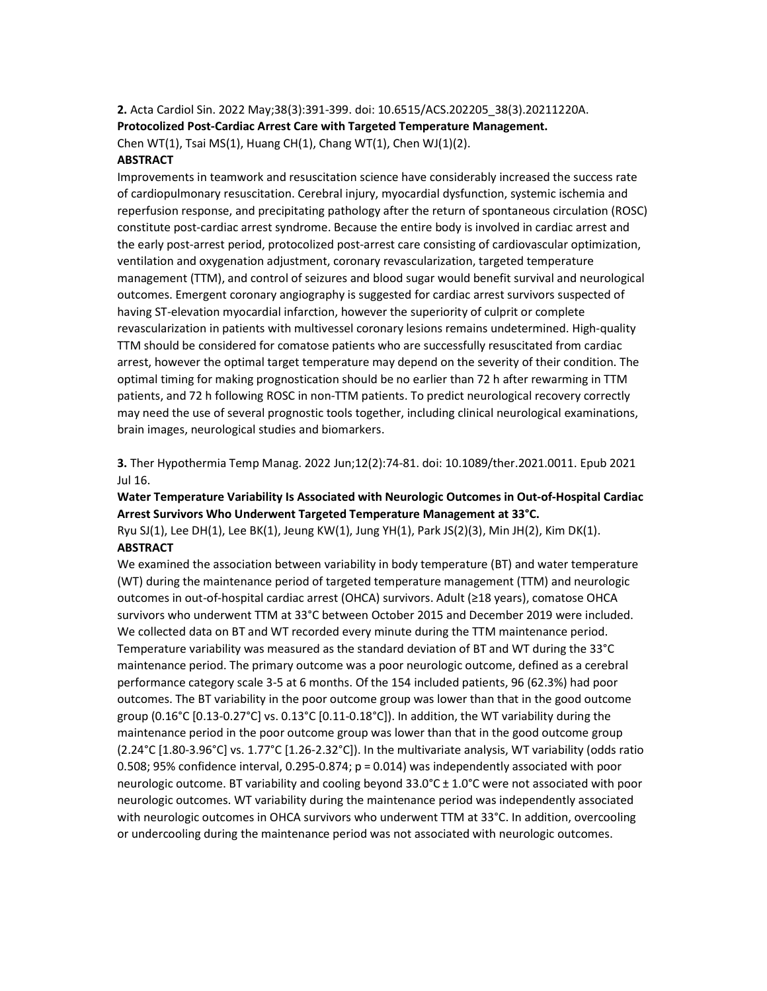2. Acta Cardiol Sin. 2022 May;38(3):391-399. doi: 10.6515/ACS.202205\_38(3).20211220A. Protocolized Post-Cardiac Arrest Care with Targeted Temperature Management. Chen WT(1), Tsai MS(1), Huang CH(1), Chang WT(1), Chen WJ(1)(2).

#### ABSTRACT

Improvements in teamwork and resuscitation science have considerably increased the success rate of cardiopulmonary resuscitation. Cerebral injury, myocardial dysfunction, systemic ischemia and reperfusion response, and precipitating pathology after the return of spontaneous circulation (ROSC) constitute post-cardiac arrest syndrome. Because the entire body is involved in cardiac arrest and the early post-arrest period, protocolized post-arrest care consisting of cardiovascular optimization, ventilation and oxygenation adjustment, coronary revascularization, targeted temperature management (TTM), and control of seizures and blood sugar would benefit survival and neurological outcomes. Emergent coronary angiography is suggested for cardiac arrest survivors suspected of having ST-elevation myocardial infarction, however the superiority of culprit or complete revascularization in patients with multivessel coronary lesions remains undetermined. High-quality TTM should be considered for comatose patients who are successfully resuscitated from cardiac arrest, however the optimal target temperature may depend on the severity of their condition. The optimal timing for making prognostication should be no earlier than 72 h after rewarming in TTM patients, and 72 h following ROSC in non-TTM patients. To predict neurological recovery correctly may need the use of several prognostic tools together, including clinical neurological examinations, brain images, neurological studies and biomarkers.

3. Ther Hypothermia Temp Manag. 2022 Jun;12(2):74-81. doi: 10.1089/ther.2021.0011. Epub 2021 Jul 16.

# Water Temperature Variability Is Associated with Neurologic Outcomes in Out-of-Hospital Cardiac Arrest Survivors Who Underwent Targeted Temperature Management at 33°C.

Ryu SJ(1), Lee DH(1), Lee BK(1), Jeung KW(1), Jung YH(1), Park JS(2)(3), Min JH(2), Kim DK(1). ABSTRACT

We examined the association between variability in body temperature (BT) and water temperature (WT) during the maintenance period of targeted temperature management (TTM) and neurologic outcomes in out-of-hospital cardiac arrest (OHCA) survivors. Adult (≥18 years), comatose OHCA survivors who underwent TTM at 33°C between October 2015 and December 2019 were included. We collected data on BT and WT recorded every minute during the TTM maintenance period. Temperature variability was measured as the standard deviation of BT and WT during the 33°C maintenance period. The primary outcome was a poor neurologic outcome, defined as a cerebral performance category scale 3-5 at 6 months. Of the 154 included patients, 96 (62.3%) had poor outcomes. The BT variability in the poor outcome group was lower than that in the good outcome group (0.16°C [0.13-0.27°C] vs. 0.13°C [0.11-0.18°C]). In addition, the WT variability during the maintenance period in the poor outcome group was lower than that in the good outcome group (2.24°C [1.80-3.96°C] vs. 1.77°C [1.26-2.32°C]). In the multivariate analysis, WT variability (odds ratio 0.508; 95% confidence interval, 0.295-0.874; p = 0.014) was independently associated with poor neurologic outcome. BT variability and cooling beyond 33.0°C ± 1.0°C were not associated with poor neurologic outcomes. WT variability during the maintenance period was independently associated with neurologic outcomes in OHCA survivors who underwent TTM at 33°C. In addition, overcooling or undercooling during the maintenance period was not associated with neurologic outcomes.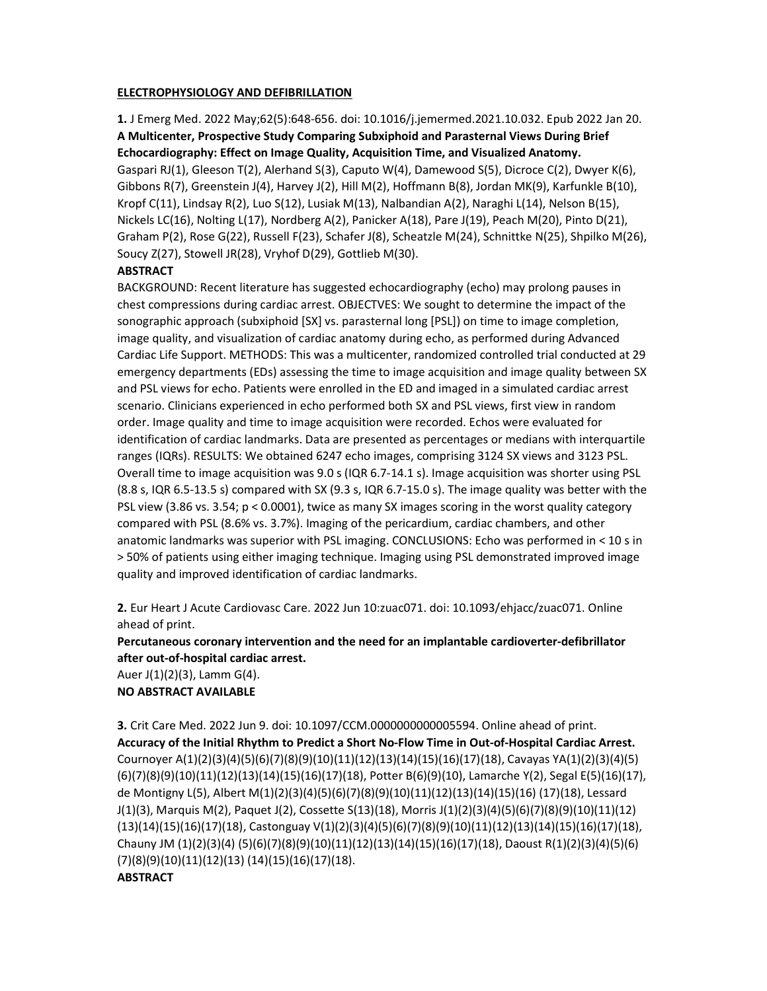### ELECTROPHYSIOLOGY AND DEFIBRILLATION

1. J Emerg Med. 2022 May;62(5):648-656. doi: 10.1016/j.jemermed.2021.10.032. Epub 2022 Jan 20. A Multicenter, Prospective Study Comparing Subxiphoid and Parasternal Views During Brief Echocardiography: Effect on Image Quality, Acquisition Time, and Visualized Anatomy. Gaspari RJ(1), Gleeson T(2), Alerhand S(3), Caputo W(4), Damewood S(5), Dicroce C(2), Dwyer K(6), Gibbons R(7), Greenstein J(4), Harvey J(2), Hill M(2), Hoffmann B(8), Jordan MK(9), Karfunkle B(10), Kropf C(11), Lindsay R(2), Luo S(12), Lusiak M(13), Nalbandian A(2), Naraghi L(14), Nelson B(15), Nickels LC(16), Nolting L(17), Nordberg A(2), Panicker A(18), Pare J(19), Peach M(20), Pinto D(21), Graham P(2), Rose G(22), Russell F(23), Schafer J(8), Scheatzle M(24), Schnittke N(25), Shpilko M(26), Soucy Z(27), Stowell JR(28), Vryhof D(29), Gottlieb M(30).

## **ABSTRACT**

BACKGROUND: Recent literature has suggested echocardiography (echo) may prolong pauses in chest compressions during cardiac arrest. OBJECTVES: We sought to determine the impact of the sonographic approach (subxiphoid [SX] vs. parasternal long [PSL]) on time to image completion, image quality, and visualization of cardiac anatomy during echo, as performed during Advanced Cardiac Life Support. METHODS: This was a multicenter, randomized controlled trial conducted at 29 emergency departments (EDs) assessing the time to image acquisition and image quality between SX and PSL views for echo. Patients were enrolled in the ED and imaged in a simulated cardiac arrest scenario. Clinicians experienced in echo performed both SX and PSL views, first view in random order. Image quality and time to image acquisition were recorded. Echos were evaluated for identification of cardiac landmarks. Data are presented as percentages or medians with interquartile ranges (IQRs). RESULTS: We obtained 6247 echo images, comprising 3124 SX views and 3123 PSL. Overall time to image acquisition was 9.0 s (IQR 6.7-14.1 s). Image acquisition was shorter using PSL (8.8 s, IQR 6.5-13.5 s) compared with SX (9.3 s, IQR 6.7-15.0 s). The image quality was better with the PSL view (3.86 vs. 3.54; p < 0.0001), twice as many SX images scoring in the worst quality category compared with PSL (8.6% vs. 3.7%). Imaging of the pericardium, cardiac chambers, and other anatomic landmarks was superior with PSL imaging. CONCLUSIONS: Echo was performed in < 10 s in > 50% of patients using either imaging technique. Imaging using PSL demonstrated improved image quality and improved identification of cardiac landmarks.

2. Eur Heart J Acute Cardiovasc Care. 2022 Jun 10:zuac071. doi: 10.1093/ehjacc/zuac071. Online ahead of print.

Percutaneous coronary intervention and the need for an implantable cardioverter-defibrillator after out-of-hospital cardiac arrest.

Auer J(1)(2)(3), Lamm G(4). NO ABSTRACT AVAILABLE

3. Crit Care Med. 2022 Jun 9. doi: 10.1097/CCM.0000000000005594. Online ahead of print. Accuracy of the Initial Rhythm to Predict a Short No-Flow Time in Out-of-Hospital Cardiac Arrest. Cournoyer A(1)(2)(3)(4)(5)(6)(7)(8)(9)(10)(11)(12)(13)(14)(15)(16)(17)(18), Cavayas YA(1)(2)(3)(4)(5) (6)(7)(8)(9)(10)(11)(12)(13)(14)(15)(16)(17)(18), Potter B(6)(9)(10), Lamarche Y(2), Segal E(5)(16)(17), de Montigny L(5), Albert M(1)(2)(3)(4)(5)(6)(7)(8)(9)(10)(11)(12)(13)(14)(15)(16) (17)(18), Lessard J(1)(3), Marquis M(2), Paquet J(2), Cossette S(13)(18), Morris J(1)(2)(3)(4)(5)(6)(7)(8)(9)(10)(11)(12) (13)(14)(15)(16)(17)(18), Castonguay V(1)(2)(3)(4)(5)(6)(7)(8)(9)(10)(11)(12)(13)(14)(15)(16)(17)(18), Chauny JM (1)(2)(3)(4) (5)(6)(7)(8)(9)(10)(11)(12)(13)(14)(15)(16)(17)(18), Daoust R(1)(2)(3)(4)(5)(6) (7)(8)(9)(10)(11)(12)(13) (14)(15)(16)(17)(18).

### **ABSTRACT**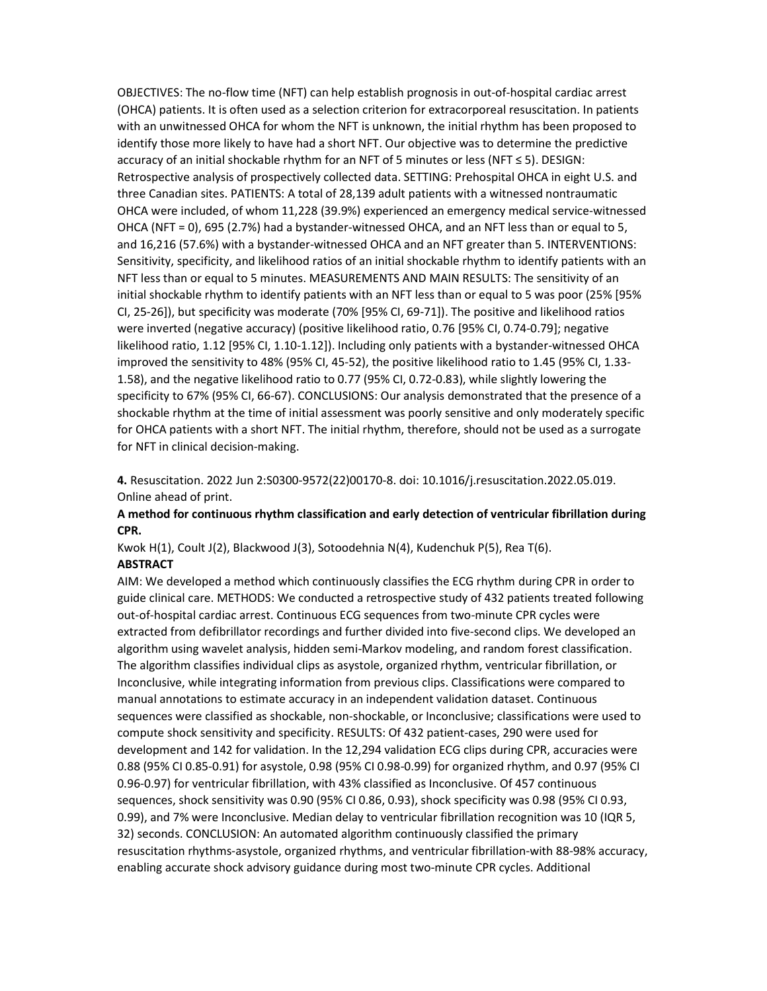OBJECTIVES: The no-flow time (NFT) can help establish prognosis in out-of-hospital cardiac arrest (OHCA) patients. It is often used as a selection criterion for extracorporeal resuscitation. In patients with an unwitnessed OHCA for whom the NFT is unknown, the initial rhythm has been proposed to identify those more likely to have had a short NFT. Our objective was to determine the predictive accuracy of an initial shockable rhythm for an NFT of 5 minutes or less (NFT ≤ 5). DESIGN: Retrospective analysis of prospectively collected data. SETTING: Prehospital OHCA in eight U.S. and three Canadian sites. PATIENTS: A total of 28,139 adult patients with a witnessed nontraumatic OHCA were included, of whom 11,228 (39.9%) experienced an emergency medical service-witnessed OHCA (NFT = 0), 695 (2.7%) had a bystander-witnessed OHCA, and an NFT less than or equal to 5, and 16,216 (57.6%) with a bystander-witnessed OHCA and an NFT greater than 5. INTERVENTIONS: Sensitivity, specificity, and likelihood ratios of an initial shockable rhythm to identify patients with an NFT less than or equal to 5 minutes. MEASUREMENTS AND MAIN RESULTS: The sensitivity of an initial shockable rhythm to identify patients with an NFT less than or equal to 5 was poor (25% [95% CI, 25-26]), but specificity was moderate (70% [95% CI, 69-71]). The positive and likelihood ratios were inverted (negative accuracy) (positive likelihood ratio, 0.76 [95% CI, 0.74-0.79]; negative likelihood ratio, 1.12 [95% CI, 1.10-1.12]). Including only patients with a bystander-witnessed OHCA improved the sensitivity to 48% (95% CI, 45-52), the positive likelihood ratio to 1.45 (95% CI, 1.33- 1.58), and the negative likelihood ratio to 0.77 (95% CI, 0.72-0.83), while slightly lowering the specificity to 67% (95% CI, 66-67). CONCLUSIONS: Our analysis demonstrated that the presence of a shockable rhythm at the time of initial assessment was poorly sensitive and only moderately specific for OHCA patients with a short NFT. The initial rhythm, therefore, should not be used as a surrogate for NFT in clinical decision-making.

4. Resuscitation. 2022 Jun 2:S0300-9572(22)00170-8. doi: 10.1016/j.resuscitation.2022.05.019. Online ahead of print.

### A method for continuous rhythm classification and early detection of ventricular fibrillation during CPR.

Kwok H(1), Coult J(2), Blackwood J(3), Sotoodehnia N(4), Kudenchuk P(5), Rea T(6). ABSTRACT

AIM: We developed a method which continuously classifies the ECG rhythm during CPR in order to guide clinical care. METHODS: We conducted a retrospective study of 432 patients treated following out-of-hospital cardiac arrest. Continuous ECG sequences from two-minute CPR cycles were extracted from defibrillator recordings and further divided into five-second clips. We developed an algorithm using wavelet analysis, hidden semi-Markov modeling, and random forest classification. The algorithm classifies individual clips as asystole, organized rhythm, ventricular fibrillation, or Inconclusive, while integrating information from previous clips. Classifications were compared to manual annotations to estimate accuracy in an independent validation dataset. Continuous sequences were classified as shockable, non-shockable, or Inconclusive; classifications were used to compute shock sensitivity and specificity. RESULTS: Of 432 patient-cases, 290 were used for development and 142 for validation. In the 12,294 validation ECG clips during CPR, accuracies were 0.88 (95% CI 0.85-0.91) for asystole, 0.98 (95% CI 0.98-0.99) for organized rhythm, and 0.97 (95% CI 0.96-0.97) for ventricular fibrillation, with 43% classified as Inconclusive. Of 457 continuous sequences, shock sensitivity was 0.90 (95% CI 0.86, 0.93), shock specificity was 0.98 (95% CI 0.93, 0.99), and 7% were Inconclusive. Median delay to ventricular fibrillation recognition was 10 (IQR 5, 32) seconds. CONCLUSION: An automated algorithm continuously classified the primary resuscitation rhythms-asystole, organized rhythms, and ventricular fibrillation-with 88-98% accuracy, enabling accurate shock advisory guidance during most two-minute CPR cycles. Additional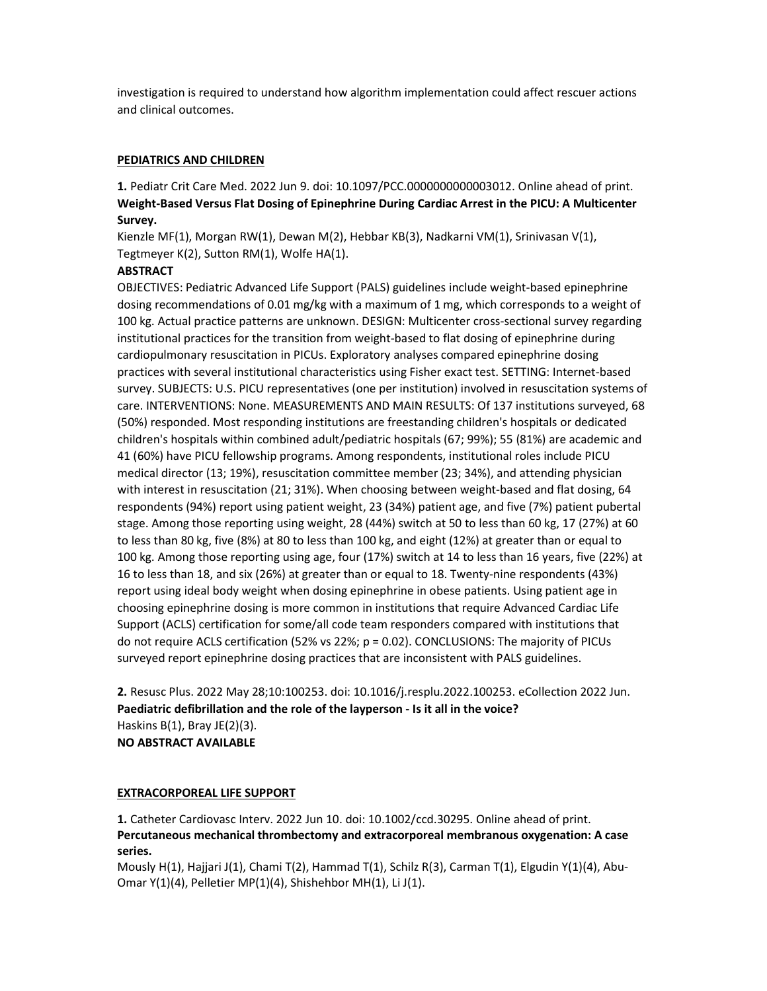investigation is required to understand how algorithm implementation could affect rescuer actions and clinical outcomes.

### PEDIATRICS AND CHILDREN

1. Pediatr Crit Care Med. 2022 Jun 9. doi: 10.1097/PCC.0000000000003012. Online ahead of print. Weight-Based Versus Flat Dosing of Epinephrine During Cardiac Arrest in the PICU: A Multicenter Survey.

Kienzle MF(1), Morgan RW(1), Dewan M(2), Hebbar KB(3), Nadkarni VM(1), Srinivasan V(1), Tegtmeyer K(2), Sutton RM(1), Wolfe HA(1).

### **ABSTRACT**

OBJECTIVES: Pediatric Advanced Life Support (PALS) guidelines include weight-based epinephrine dosing recommendations of 0.01 mg/kg with a maximum of 1 mg, which corresponds to a weight of 100 kg. Actual practice patterns are unknown. DESIGN: Multicenter cross-sectional survey regarding institutional practices for the transition from weight-based to flat dosing of epinephrine during cardiopulmonary resuscitation in PICUs. Exploratory analyses compared epinephrine dosing practices with several institutional characteristics using Fisher exact test. SETTING: Internet-based survey. SUBJECTS: U.S. PICU representatives (one per institution) involved in resuscitation systems of care. INTERVENTIONS: None. MEASUREMENTS AND MAIN RESULTS: Of 137 institutions surveyed, 68 (50%) responded. Most responding institutions are freestanding children's hospitals or dedicated children's hospitals within combined adult/pediatric hospitals (67; 99%); 55 (81%) are academic and 41 (60%) have PICU fellowship programs. Among respondents, institutional roles include PICU medical director (13; 19%), resuscitation committee member (23; 34%), and attending physician with interest in resuscitation (21; 31%). When choosing between weight-based and flat dosing, 64 respondents (94%) report using patient weight, 23 (34%) patient age, and five (7%) patient pubertal stage. Among those reporting using weight, 28 (44%) switch at 50 to less than 60 kg, 17 (27%) at 60 to less than 80 kg, five (8%) at 80 to less than 100 kg, and eight (12%) at greater than or equal to 100 kg. Among those reporting using age, four (17%) switch at 14 to less than 16 years, five (22%) at 16 to less than 18, and six (26%) at greater than or equal to 18. Twenty-nine respondents (43%) report using ideal body weight when dosing epinephrine in obese patients. Using patient age in choosing epinephrine dosing is more common in institutions that require Advanced Cardiac Life Support (ACLS) certification for some/all code team responders compared with institutions that do not require ACLS certification (52% vs 22%; p = 0.02). CONCLUSIONS: The majority of PICUs surveyed report epinephrine dosing practices that are inconsistent with PALS guidelines.

2. Resusc Plus. 2022 May 28;10:100253. doi: 10.1016/j.resplu.2022.100253. eCollection 2022 Jun. Paediatric defibrillation and the role of the layperson - Is it all in the voice? Haskins B(1), Bray JE(2)(3). NO ABSTRACT AVAILABLE

### EXTRACORPOREAL LIFE SUPPORT

1. Catheter Cardiovasc Interv. 2022 Jun 10. doi: 10.1002/ccd.30295. Online ahead of print. Percutaneous mechanical thrombectomy and extracorporeal membranous oxygenation: A case series.

Mously H(1), Hajjari J(1), Chami T(2), Hammad T(1), Schilz R(3), Carman T(1), Elgudin Y(1)(4), Abu-Omar Y(1)(4), Pelletier MP(1)(4), Shishehbor MH(1), Li J(1).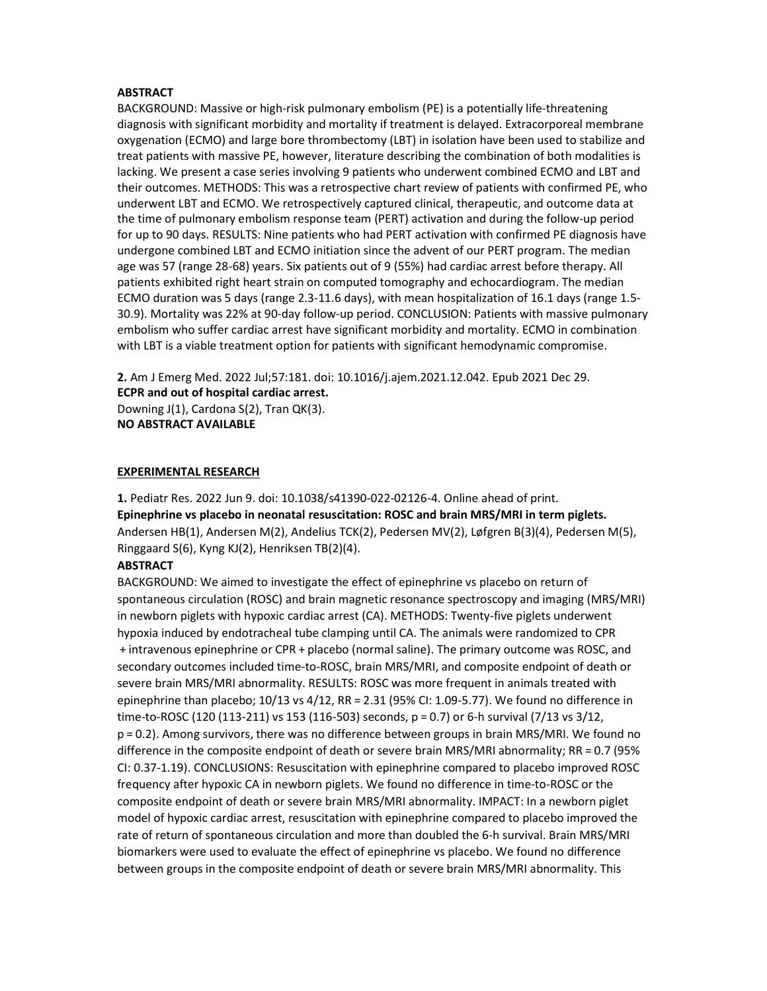#### **ABSTRACT**

BACKGROUND: Massive or high-risk pulmonary embolism (PE) is a potentially life-threatening diagnosis with significant morbidity and mortality if treatment is delayed. Extracorporeal membrane oxygenation (ECMO) and large bore thrombectomy (LBT) in isolation have been used to stabilize and treat patients with massive PE, however, literature describing the combination of both modalities is lacking. We present a case series involving 9 patients who underwent combined ECMO and LBT and their outcomes. METHODS: This was a retrospective chart review of patients with confirmed PE, who underwent LBT and ECMO. We retrospectively captured clinical, therapeutic, and outcome data at the time of pulmonary embolism response team (PERT) activation and during the follow-up period for up to 90 days. RESULTS: Nine patients who had PERT activation with confirmed PE diagnosis have undergone combined LBT and ECMO initiation since the advent of our PERT program. The median age was 57 (range 28-68) years. Six patients out of 9 (55%) had cardiac arrest before therapy. All patients exhibited right heart strain on computed tomography and echocardiogram. The median ECMO duration was 5 days (range 2.3-11.6 days), with mean hospitalization of 16.1 days (range 1.5- 30.9). Mortality was 22% at 90-day follow-up period. CONCLUSION: Patients with massive pulmonary embolism who suffer cardiac arrest have significant morbidity and mortality. ECMO in combination with LBT is a viable treatment option for patients with significant hemodynamic compromise.

2. Am J Emerg Med. 2022 Jul;57:181. doi: 10.1016/j.ajem.2021.12.042. Epub 2021 Dec 29. ECPR and out of hospital cardiac arrest. Downing J(1), Cardona S(2), Tran QK(3). NO ABSTRACT AVAILABLE

### EXPERIMENTAL RESEARCH

1. Pediatr Res. 2022 Jun 9. doi: 10.1038/s41390-022-02126-4. Online ahead of print. Epinephrine vs placebo in neonatal resuscitation: ROSC and brain MRS/MRI in term piglets. Andersen HB(1), Andersen M(2), Andelius TCK(2), Pedersen MV(2), Løfgren B(3)(4), Pedersen M(5), Ringgaard S(6), Kyng KJ(2), Henriksen TB(2)(4).

#### **ABSTRACT**

BACKGROUND: We aimed to investigate the effect of epinephrine vs placebo on return of spontaneous circulation (ROSC) and brain magnetic resonance spectroscopy and imaging (MRS/MRI) in newborn piglets with hypoxic cardiac arrest (CA). METHODS: Twenty-five piglets underwent hypoxia induced by endotracheal tube clamping until CA. The animals were randomized to CPR  + intravenous epinephrine or CPR + placebo (normal saline). The primary outcome was ROSC, and secondary outcomes included time-to-ROSC, brain MRS/MRI, and composite endpoint of death or severe brain MRS/MRI abnormality. RESULTS: ROSC was more frequent in animals treated with epinephrine than placebo; 10/13 vs 4/12, RR = 2.31 (95% CI: 1.09-5.77). We found no difference in time-to-ROSC (120 (113-211) vs 153 (116-503) seconds, p = 0.7) or 6-h survival (7/13 vs 3/12, p = 0.2). Among survivors, there was no difference between groups in brain MRS/MRI. We found no difference in the composite endpoint of death or severe brain MRS/MRI abnormality; RR = 0.7 (95% CI: 0.37-1.19). CONCLUSIONS: Resuscitation with epinephrine compared to placebo improved ROSC frequency after hypoxic CA in newborn piglets. We found no difference in time-to-ROSC or the composite endpoint of death or severe brain MRS/MRI abnormality. IMPACT: In a newborn piglet model of hypoxic cardiac arrest, resuscitation with epinephrine compared to placebo improved the rate of return of spontaneous circulation and more than doubled the 6-h survival. Brain MRS/MRI biomarkers were used to evaluate the effect of epinephrine vs placebo. We found no difference between groups in the composite endpoint of death or severe brain MRS/MRI abnormality. This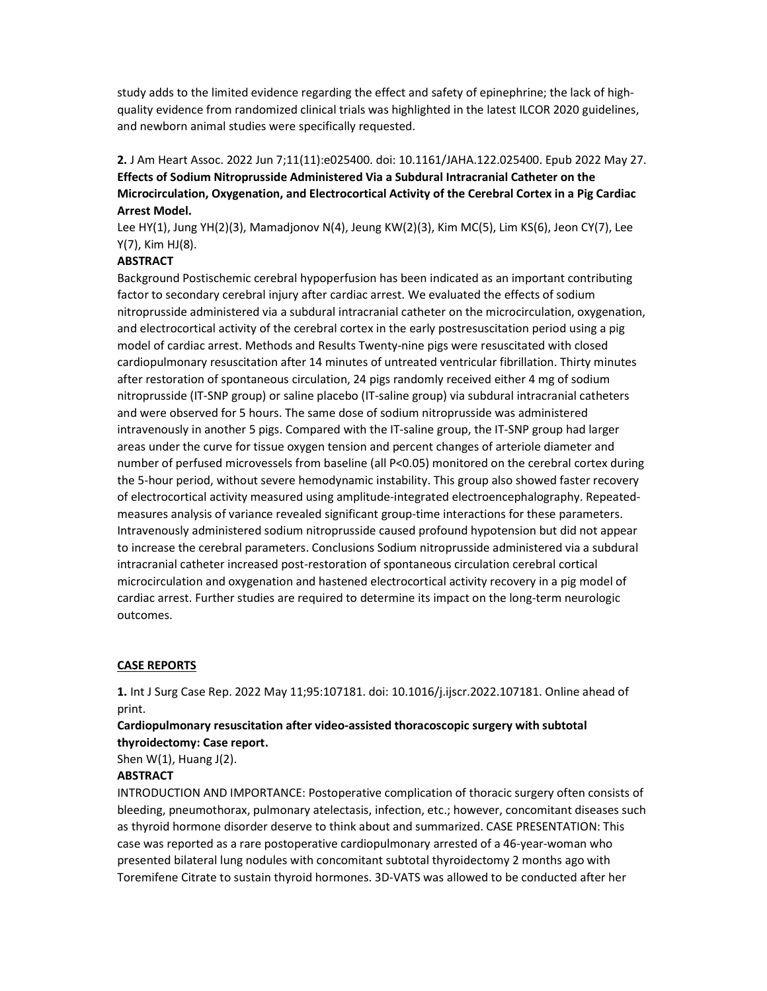study adds to the limited evidence regarding the effect and safety of epinephrine; the lack of highquality evidence from randomized clinical trials was highlighted in the latest ILCOR 2020 guidelines, and newborn animal studies were specifically requested.

2. J Am Heart Assoc. 2022 Jun 7;11(11):e025400. doi: 10.1161/JAHA.122.025400. Epub 2022 May 27. Effects of Sodium Nitroprusside Administered Via a Subdural Intracranial Catheter on the Microcirculation, Oxygenation, and Electrocortical Activity of the Cerebral Cortex in a Pig Cardiac Arrest Model.

Lee HY(1), Jung YH(2)(3), Mamadjonov N(4), Jeung KW(2)(3), Kim MC(5), Lim KS(6), Jeon CY(7), Lee Y(7), Kim HJ(8).

### **ABSTRACT**

Background Postischemic cerebral hypoperfusion has been indicated as an important contributing factor to secondary cerebral injury after cardiac arrest. We evaluated the effects of sodium nitroprusside administered via a subdural intracranial catheter on the microcirculation, oxygenation, and electrocortical activity of the cerebral cortex in the early postresuscitation period using a pig model of cardiac arrest. Methods and Results Twenty-nine pigs were resuscitated with closed cardiopulmonary resuscitation after 14 minutes of untreated ventricular fibrillation. Thirty minutes after restoration of spontaneous circulation, 24 pigs randomly received either 4 mg of sodium nitroprusside (IT-SNP group) or saline placebo (IT-saline group) via subdural intracranial catheters and were observed for 5 hours. The same dose of sodium nitroprusside was administered intravenously in another 5 pigs. Compared with the IT-saline group, the IT-SNP group had larger areas under the curve for tissue oxygen tension and percent changes of arteriole diameter and number of perfused microvessels from baseline (all P<0.05) monitored on the cerebral cortex during the 5-hour period, without severe hemodynamic instability. This group also showed faster recovery of electrocortical activity measured using amplitude-integrated electroencephalography. Repeatedmeasures analysis of variance revealed significant group-time interactions for these parameters. Intravenously administered sodium nitroprusside caused profound hypotension but did not appear to increase the cerebral parameters. Conclusions Sodium nitroprusside administered via a subdural intracranial catheter increased post-restoration of spontaneous circulation cerebral cortical microcirculation and oxygenation and hastened electrocortical activity recovery in a pig model of cardiac arrest. Further studies are required to determine its impact on the long-term neurologic outcomes.

### CASE REPORTS

1. Int J Surg Case Rep. 2022 May 11;95:107181. doi: 10.1016/j.ijscr.2022.107181. Online ahead of print.

## Cardiopulmonary resuscitation after video-assisted thoracoscopic surgery with subtotal thyroidectomy: Case report.

Shen  $W(1)$ , Huang  $J(2)$ .

#### **ABSTRACT**

INTRODUCTION AND IMPORTANCE: Postoperative complication of thoracic surgery often consists of bleeding, pneumothorax, pulmonary atelectasis, infection, etc.; however, concomitant diseases such as thyroid hormone disorder deserve to think about and summarized. CASE PRESENTATION: This case was reported as a rare postoperative cardiopulmonary arrested of a 46-year-woman who presented bilateral lung nodules with concomitant subtotal thyroidectomy 2 months ago with Toremifene Citrate to sustain thyroid hormones. 3D-VATS was allowed to be conducted after her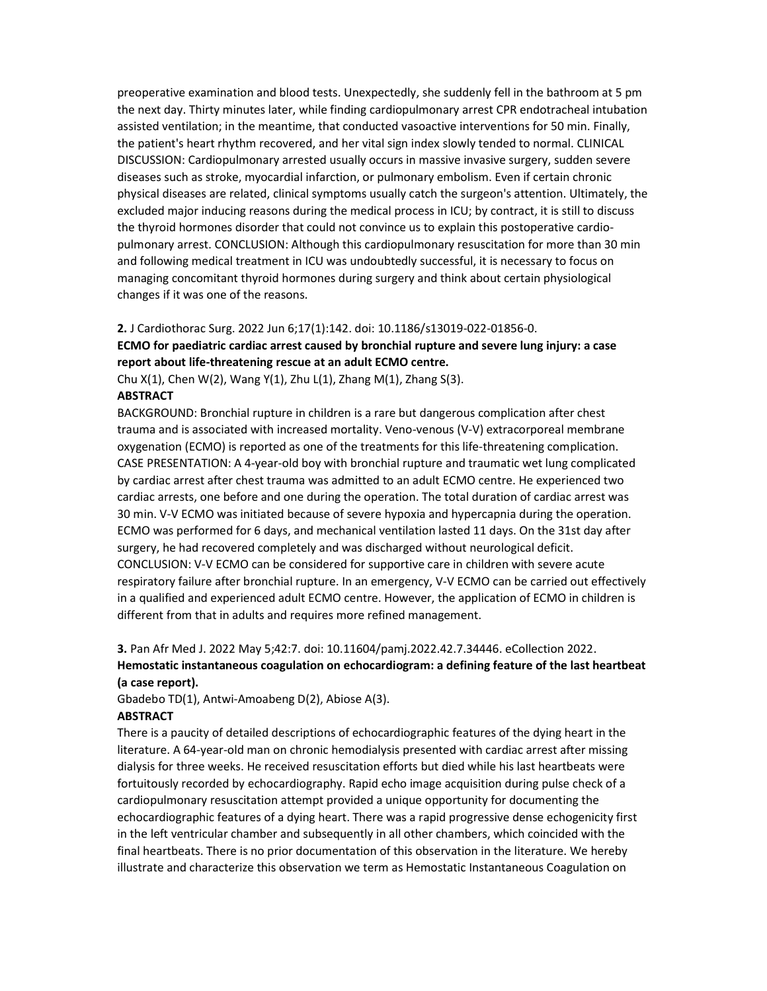preoperative examination and blood tests. Unexpectedly, she suddenly fell in the bathroom at 5 pm the next day. Thirty minutes later, while finding cardiopulmonary arrest CPR endotracheal intubation assisted ventilation; in the meantime, that conducted vasoactive interventions for 50 min. Finally, the patient's heart rhythm recovered, and her vital sign index slowly tended to normal. CLINICAL DISCUSSION: Cardiopulmonary arrested usually occurs in massive invasive surgery, sudden severe diseases such as stroke, myocardial infarction, or pulmonary embolism. Even if certain chronic physical diseases are related, clinical symptoms usually catch the surgeon's attention. Ultimately, the excluded major inducing reasons during the medical process in ICU; by contract, it is still to discuss the thyroid hormones disorder that could not convince us to explain this postoperative cardiopulmonary arrest. CONCLUSION: Although this cardiopulmonary resuscitation for more than 30 min and following medical treatment in ICU was undoubtedly successful, it is necessary to focus on managing concomitant thyroid hormones during surgery and think about certain physiological changes if it was one of the reasons.

# 2. J Cardiothorac Surg. 2022 Jun 6;17(1):142. doi: 10.1186/s13019-022-01856-0. ECMO for paediatric cardiac arrest caused by bronchial rupture and severe lung injury: a case

report about life-threatening rescue at an adult ECMO centre.

Chu X(1), Chen W(2), Wang Y(1), Zhu L(1), Zhang M(1), Zhang S(3).

#### **ABSTRACT**

BACKGROUND: Bronchial rupture in children is a rare but dangerous complication after chest trauma and is associated with increased mortality. Veno-venous (V-V) extracorporeal membrane oxygenation (ECMO) is reported as one of the treatments for this life-threatening complication. CASE PRESENTATION: A 4-year-old boy with bronchial rupture and traumatic wet lung complicated by cardiac arrest after chest trauma was admitted to an adult ECMO centre. He experienced two cardiac arrests, one before and one during the operation. The total duration of cardiac arrest was 30 min. V-V ECMO was initiated because of severe hypoxia and hypercapnia during the operation. ECMO was performed for 6 days, and mechanical ventilation lasted 11 days. On the 31st day after surgery, he had recovered completely and was discharged without neurological deficit. CONCLUSION: V-V ECMO can be considered for supportive care in children with severe acute respiratory failure after bronchial rupture. In an emergency, V-V ECMO can be carried out effectively in a qualified and experienced adult ECMO centre. However, the application of ECMO in children is different from that in adults and requires more refined management.

# 3. Pan Afr Med J. 2022 May 5;42:7. doi: 10.11604/pamj.2022.42.7.34446. eCollection 2022. Hemostatic instantaneous coagulation on echocardiogram: a defining feature of the last heartbeat (a case report).

Gbadebo TD(1), Antwi-Amoabeng D(2), Abiose A(3).

### ABSTRACT

There is a paucity of detailed descriptions of echocardiographic features of the dying heart in the literature. A 64-year-old man on chronic hemodialysis presented with cardiac arrest after missing dialysis for three weeks. He received resuscitation efforts but died while his last heartbeats were fortuitously recorded by echocardiography. Rapid echo image acquisition during pulse check of a cardiopulmonary resuscitation attempt provided a unique opportunity for documenting the echocardiographic features of a dying heart. There was a rapid progressive dense echogenicity first in the left ventricular chamber and subsequently in all other chambers, which coincided with the final heartbeats. There is no prior documentation of this observation in the literature. We hereby illustrate and characterize this observation we term as Hemostatic Instantaneous Coagulation on